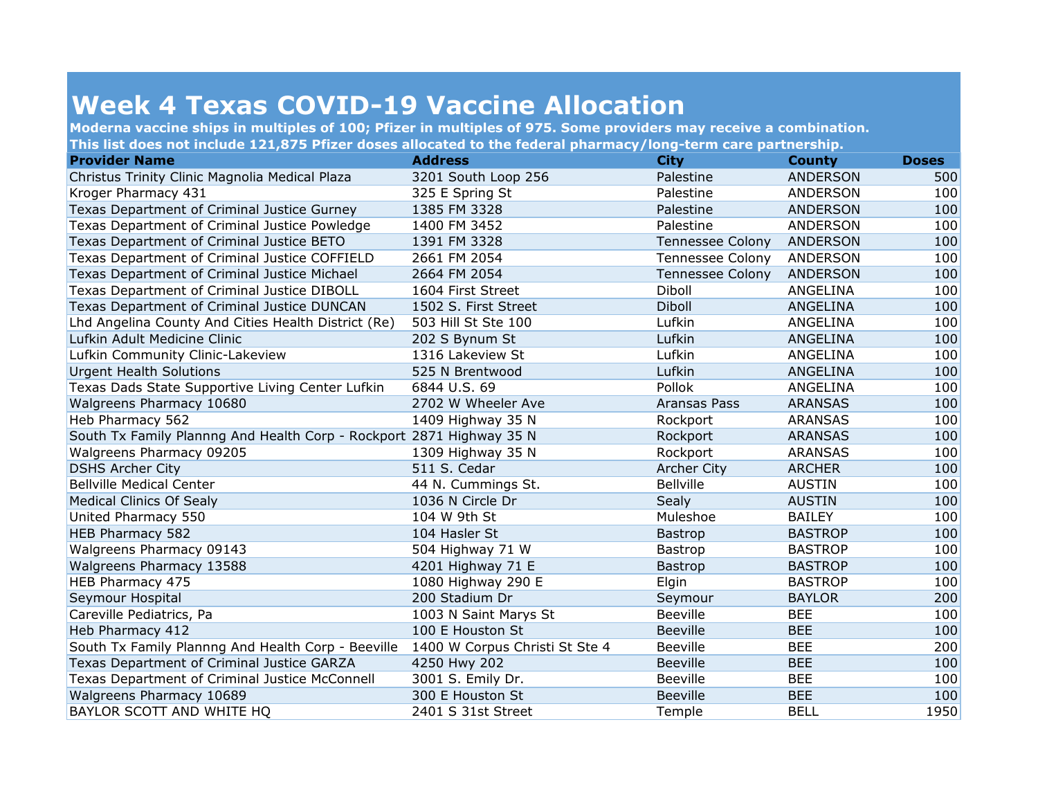## **Week 4 Texas COVID-19 Vaccine Allocation**

**Moderna vaccine ships in multiples of 100; Pfizer in multiples of 975. Some providers may receive a combination. This list does not include 121,875 Pfizer doses allocated to the federal pharmacy/long-term care partnership.**

| <b>Provider Name</b>                                                 | <b>Address</b>                 | <b>City</b>             | <b>County</b>   | <b>Doses</b> |
|----------------------------------------------------------------------|--------------------------------|-------------------------|-----------------|--------------|
| Christus Trinity Clinic Magnolia Medical Plaza                       | 3201 South Loop 256            | Palestine               | <b>ANDERSON</b> | 500          |
| Kroger Pharmacy 431                                                  | 325 E Spring St                | Palestine               | ANDERSON        | 100          |
| Texas Department of Criminal Justice Gurney                          | 1385 FM 3328                   | Palestine               | <b>ANDERSON</b> | 100          |
| Texas Department of Criminal Justice Powledge                        | 1400 FM 3452                   | Palestine               | <b>ANDERSON</b> | 100          |
| Texas Department of Criminal Justice BETO                            | 1391 FM 3328                   | <b>Tennessee Colony</b> | <b>ANDERSON</b> | 100          |
| Texas Department of Criminal Justice COFFIELD                        | 2661 FM 2054                   | Tennessee Colony        | <b>ANDERSON</b> | 100          |
| Texas Department of Criminal Justice Michael                         | 2664 FM 2054                   | <b>Tennessee Colony</b> | <b>ANDERSON</b> | 100          |
| Texas Department of Criminal Justice DIBOLL                          | 1604 First Street              | Diboll                  | ANGELINA        | 100          |
| Texas Department of Criminal Justice DUNCAN                          | 1502 S. First Street           | Diboll                  | ANGELINA        | 100          |
| Lhd Angelina County And Cities Health District (Re)                  | 503 Hill St Ste 100            | Lufkin                  | ANGELINA        | 100          |
| Lufkin Adult Medicine Clinic                                         | 202 S Bynum St                 | Lufkin                  | ANGELINA        | 100          |
| Lufkin Community Clinic-Lakeview                                     | 1316 Lakeview St               | Lufkin                  | ANGELINA        | 100          |
| <b>Urgent Health Solutions</b>                                       | 525 N Brentwood                | Lufkin                  | ANGELINA        | 100          |
| Texas Dads State Supportive Living Center Lufkin                     | 6844 U.S. 69                   | Pollok                  | ANGELINA        | 100          |
| Walgreens Pharmacy 10680                                             | 2702 W Wheeler Ave             | Aransas Pass            | <b>ARANSAS</b>  | 100          |
| Heb Pharmacy 562                                                     | 1409 Highway 35 N              | Rockport                | <b>ARANSAS</b>  | 100          |
| South Tx Family Plannng And Health Corp - Rockport 2871 Highway 35 N |                                | Rockport                | <b>ARANSAS</b>  | 100          |
| Walgreens Pharmacy 09205                                             | 1309 Highway 35 N              | Rockport                | ARANSAS         | 100          |
| <b>DSHS Archer City</b>                                              | 511 S. Cedar                   | <b>Archer City</b>      | <b>ARCHER</b>   | 100          |
| <b>Bellville Medical Center</b>                                      | 44 N. Cummings St.             | <b>Bellville</b>        | <b>AUSTIN</b>   | 100          |
| <b>Medical Clinics Of Sealy</b>                                      | 1036 N Circle Dr               | <b>Sealy</b>            | <b>AUSTIN</b>   | 100          |
| United Pharmacy 550                                                  | 104 W 9th St                   | Muleshoe                | <b>BAILEY</b>   | 100          |
| HEB Pharmacy 582                                                     | 104 Hasler St                  | Bastrop                 | <b>BASTROP</b>  | 100          |
| Walgreens Pharmacy 09143                                             | 504 Highway 71 W               | <b>Bastrop</b>          | <b>BASTROP</b>  | 100          |
| Walgreens Pharmacy 13588                                             | 4201 Highway 71 E              | <b>Bastrop</b>          | <b>BASTROP</b>  | 100          |
| HEB Pharmacy 475                                                     | 1080 Highway 290 E             | Elgin                   | <b>BASTROP</b>  | 100          |
| Seymour Hospital                                                     | 200 Stadium Dr                 | Seymour                 | <b>BAYLOR</b>   | 200          |
| Careville Pediatrics, Pa                                             | 1003 N Saint Marys St          | <b>Beeville</b>         | <b>BEE</b>      | 100          |
| Heb Pharmacy 412                                                     | 100 E Houston St               | <b>Beeville</b>         | <b>BEE</b>      | 100          |
| South Tx Family Plannng And Health Corp - Beeville                   | 1400 W Corpus Christi St Ste 4 | <b>Beeville</b>         | <b>BEE</b>      | 200          |
| Texas Department of Criminal Justice GARZA                           | 4250 Hwy 202                   | <b>Beeville</b>         | <b>BEE</b>      | 100          |
| Texas Department of Criminal Justice McConnell                       | 3001 S. Emily Dr.              | <b>Beeville</b>         | <b>BEE</b>      | 100          |
| Walgreens Pharmacy 10689                                             | 300 E Houston St               | <b>Beeville</b>         | <b>BEE</b>      | 100          |
| BAYLOR SCOTT AND WHITE HQ                                            | 2401 S 31st Street             | Temple                  | <b>BELL</b>     | 1950         |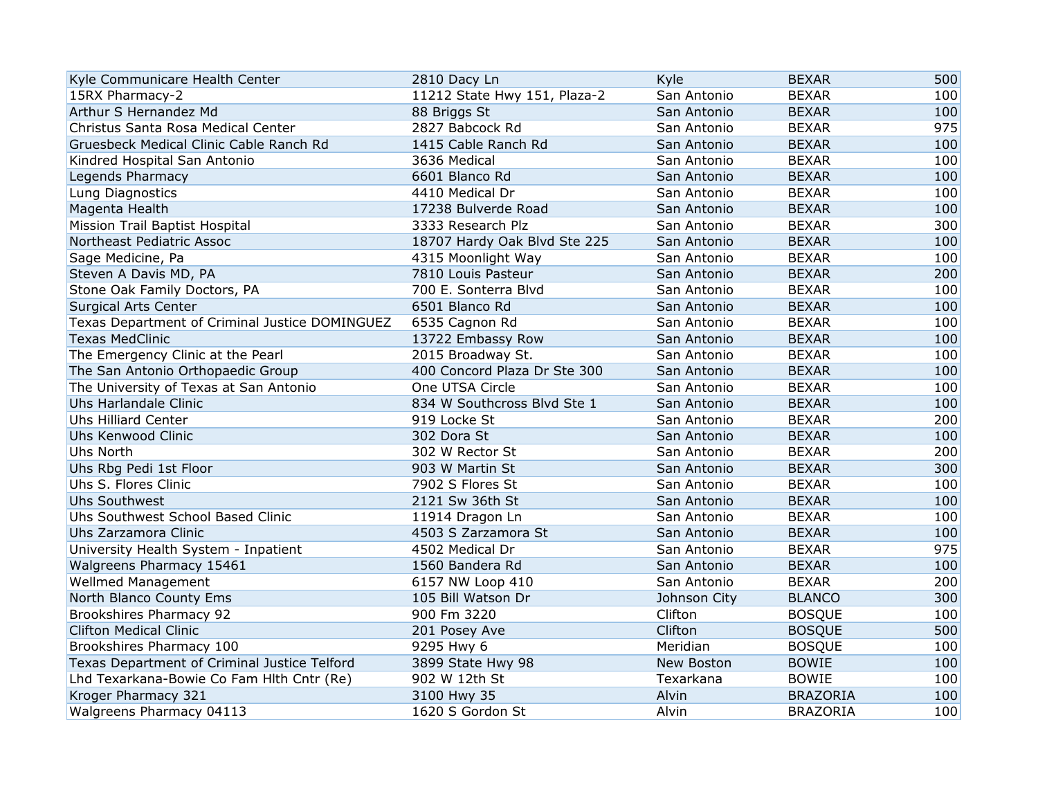| Kyle Communicare Health Center                 | 2810 Dacy Ln                 | Kyle         | <b>BEXAR</b>    | 500 |
|------------------------------------------------|------------------------------|--------------|-----------------|-----|
| 15RX Pharmacy-2                                | 11212 State Hwy 151, Plaza-2 | San Antonio  | <b>BEXAR</b>    | 100 |
| Arthur S Hernandez Md                          | 88 Briggs St                 | San Antonio  | <b>BEXAR</b>    | 100 |
| Christus Santa Rosa Medical Center             | 2827 Babcock Rd              | San Antonio  | <b>BEXAR</b>    | 975 |
| Gruesbeck Medical Clinic Cable Ranch Rd        | 1415 Cable Ranch Rd          | San Antonio  | <b>BEXAR</b>    | 100 |
| Kindred Hospital San Antonio                   | 3636 Medical                 | San Antonio  | <b>BEXAR</b>    | 100 |
| Legends Pharmacy                               | 6601 Blanco Rd               | San Antonio  | <b>BEXAR</b>    | 100 |
| Lung Diagnostics                               | 4410 Medical Dr              | San Antonio  | <b>BEXAR</b>    | 100 |
| Magenta Health                                 | 17238 Bulverde Road          | San Antonio  | <b>BEXAR</b>    | 100 |
| Mission Trail Baptist Hospital                 | 3333 Research Plz            | San Antonio  | <b>BEXAR</b>    | 300 |
| Northeast Pediatric Assoc                      | 18707 Hardy Oak Blvd Ste 225 | San Antonio  | <b>BEXAR</b>    | 100 |
| Sage Medicine, Pa                              | 4315 Moonlight Way           | San Antonio  | <b>BEXAR</b>    | 100 |
| Steven A Davis MD, PA                          | 7810 Louis Pasteur           | San Antonio  | <b>BEXAR</b>    | 200 |
| Stone Oak Family Doctors, PA                   | 700 E. Sonterra Blvd         | San Antonio  | <b>BEXAR</b>    | 100 |
| <b>Surgical Arts Center</b>                    | 6501 Blanco Rd               | San Antonio  | <b>BEXAR</b>    | 100 |
| Texas Department of Criminal Justice DOMINGUEZ | 6535 Cagnon Rd               | San Antonio  | <b>BEXAR</b>    | 100 |
| <b>Texas MedClinic</b>                         | 13722 Embassy Row            | San Antonio  | <b>BEXAR</b>    | 100 |
| The Emergency Clinic at the Pearl              | 2015 Broadway St.            | San Antonio  | <b>BEXAR</b>    | 100 |
| The San Antonio Orthopaedic Group              | 400 Concord Plaza Dr Ste 300 | San Antonio  | <b>BEXAR</b>    | 100 |
| The University of Texas at San Antonio         | One UTSA Circle              | San Antonio  | <b>BEXAR</b>    | 100 |
| Uhs Harlandale Clinic                          | 834 W Southcross Blvd Ste 1  | San Antonio  | <b>BEXAR</b>    | 100 |
| <b>Uhs Hilliard Center</b>                     | 919 Locke St                 | San Antonio  | <b>BEXAR</b>    | 200 |
| Uhs Kenwood Clinic                             | 302 Dora St                  | San Antonio  | <b>BEXAR</b>    | 100 |
| Uhs North                                      | 302 W Rector St              | San Antonio  | <b>BEXAR</b>    | 200 |
| Uhs Rbg Pedi 1st Floor                         | 903 W Martin St              | San Antonio  | <b>BEXAR</b>    | 300 |
| Uhs S. Flores Clinic                           | 7902 S Flores St             | San Antonio  | <b>BEXAR</b>    | 100 |
| Uhs Southwest                                  | 2121 Sw 36th St              | San Antonio  | <b>BEXAR</b>    | 100 |
| Uhs Southwest School Based Clinic              | 11914 Dragon Ln              | San Antonio  | <b>BEXAR</b>    | 100 |
| Uhs Zarzamora Clinic                           | 4503 S Zarzamora St          | San Antonio  | <b>BEXAR</b>    | 100 |
| University Health System - Inpatient           | 4502 Medical Dr              | San Antonio  | <b>BEXAR</b>    | 975 |
| Walgreens Pharmacy 15461                       | 1560 Bandera Rd              | San Antonio  | <b>BEXAR</b>    | 100 |
| Wellmed Management                             | 6157 NW Loop 410             | San Antonio  | <b>BEXAR</b>    | 200 |
| North Blanco County Ems                        | 105 Bill Watson Dr           | Johnson City | <b>BLANCO</b>   | 300 |
| Brookshires Pharmacy 92                        | 900 Fm 3220                  | Clifton      | <b>BOSQUE</b>   | 100 |
| <b>Clifton Medical Clinic</b>                  | 201 Posey Ave                | Clifton      | <b>BOSQUE</b>   | 500 |
| Brookshires Pharmacy 100                       | 9295 Hwy 6                   | Meridian     | <b>BOSQUE</b>   | 100 |
| Texas Department of Criminal Justice Telford   | 3899 State Hwy 98            | New Boston   | <b>BOWIE</b>    | 100 |
| Lhd Texarkana-Bowie Co Fam Hlth Cntr (Re)      | 902 W 12th St                | Texarkana    | <b>BOWIE</b>    | 100 |
| Kroger Pharmacy 321                            | 3100 Hwy 35                  | Alvin        | <b>BRAZORIA</b> | 100 |
| Walgreens Pharmacy 04113                       | 1620 S Gordon St             | Alvin        | <b>BRAZORIA</b> | 100 |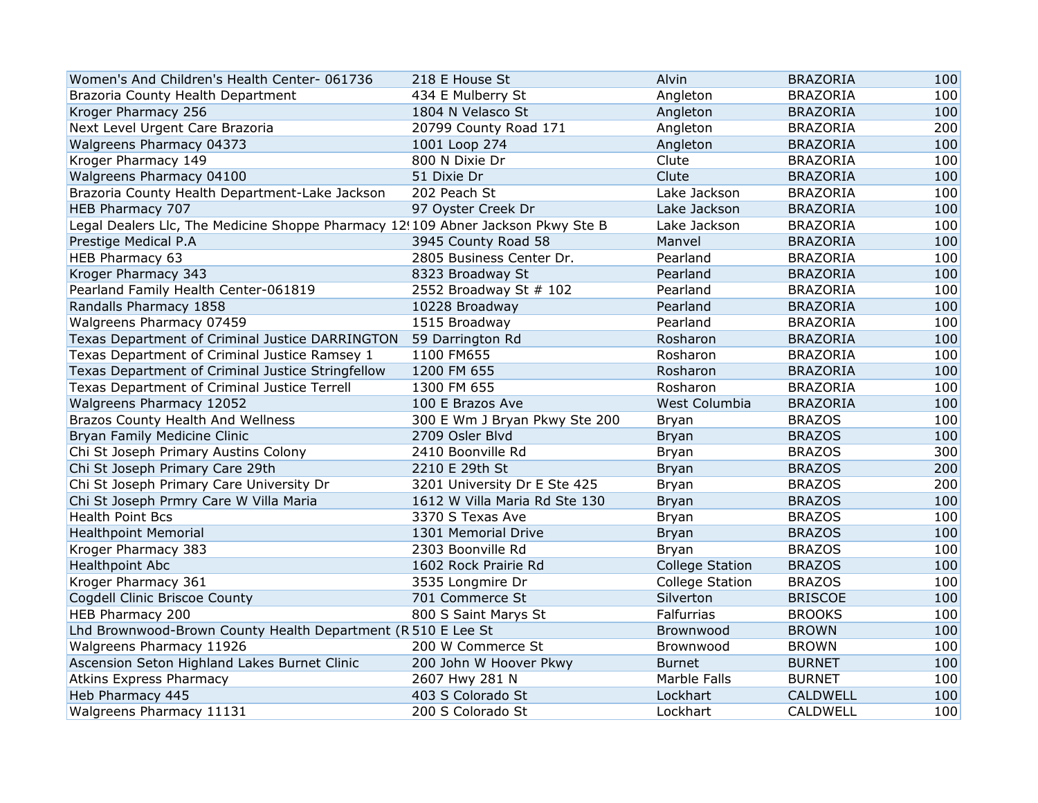| Women's And Children's Health Center-061736                                     | 218 E House St                | Alvin                  | <b>BRAZORIA</b> | 100 |
|---------------------------------------------------------------------------------|-------------------------------|------------------------|-----------------|-----|
| Brazoria County Health Department                                               | 434 E Mulberry St             | Angleton               | <b>BRAZORIA</b> | 100 |
| Kroger Pharmacy 256                                                             | 1804 N Velasco St             | Angleton               | <b>BRAZORIA</b> | 100 |
| Next Level Urgent Care Brazoria                                                 | 20799 County Road 171         | Angleton               | <b>BRAZORIA</b> | 200 |
| Walgreens Pharmacy 04373                                                        | 1001 Loop 274                 | Angleton               | <b>BRAZORIA</b> | 100 |
| Kroger Pharmacy 149                                                             | 800 N Dixie Dr                | Clute                  | <b>BRAZORIA</b> | 100 |
| Walgreens Pharmacy 04100                                                        | 51 Dixie Dr                   | Clute                  | <b>BRAZORIA</b> | 100 |
| Brazoria County Health Department-Lake Jackson                                  | 202 Peach St                  | Lake Jackson           | <b>BRAZORIA</b> | 100 |
| HEB Pharmacy 707                                                                | 97 Oyster Creek Dr            | Lake Jackson           | <b>BRAZORIA</b> | 100 |
| Legal Dealers Llc, The Medicine Shoppe Pharmacy 12!109 Abner Jackson Pkwy Ste B |                               | Lake Jackson           | <b>BRAZORIA</b> | 100 |
| Prestige Medical P.A                                                            | 3945 County Road 58           | Manvel                 | <b>BRAZORIA</b> | 100 |
| HEB Pharmacy 63                                                                 | 2805 Business Center Dr.      | Pearland               | <b>BRAZORIA</b> | 100 |
| Kroger Pharmacy 343                                                             | 8323 Broadway St              | Pearland               | <b>BRAZORIA</b> | 100 |
| Pearland Family Health Center-061819                                            | 2552 Broadway St # 102        | Pearland               | <b>BRAZORIA</b> | 100 |
| Randalls Pharmacy 1858                                                          | 10228 Broadway                | Pearland               | <b>BRAZORIA</b> | 100 |
| Walgreens Pharmacy 07459                                                        | 1515 Broadway                 | Pearland               | <b>BRAZORIA</b> | 100 |
| Texas Department of Criminal Justice DARRINGTON                                 | 59 Darrington Rd              | Rosharon               | <b>BRAZORIA</b> | 100 |
| Texas Department of Criminal Justice Ramsey 1                                   | 1100 FM655                    | Rosharon               | <b>BRAZORIA</b> | 100 |
| Texas Department of Criminal Justice Stringfellow                               | 1200 FM 655                   | Rosharon               | <b>BRAZORIA</b> | 100 |
| Texas Department of Criminal Justice Terrell                                    | 1300 FM 655                   | Rosharon               | <b>BRAZORIA</b> | 100 |
| Walgreens Pharmacy 12052                                                        | 100 E Brazos Ave              | West Columbia          | <b>BRAZORIA</b> | 100 |
| Brazos County Health And Wellness                                               | 300 E Wm J Bryan Pkwy Ste 200 | <b>Bryan</b>           | <b>BRAZOS</b>   | 100 |
| Bryan Family Medicine Clinic                                                    | 2709 Osler Blvd               | <b>Bryan</b>           | <b>BRAZOS</b>   | 100 |
| Chi St Joseph Primary Austins Colony                                            | 2410 Boonville Rd             | Bryan                  | <b>BRAZOS</b>   | 300 |
| Chi St Joseph Primary Care 29th                                                 | 2210 E 29th St                | <b>Bryan</b>           | <b>BRAZOS</b>   | 200 |
| Chi St Joseph Primary Care University Dr                                        | 3201 University Dr E Ste 425  | Bryan                  | <b>BRAZOS</b>   | 200 |
| Chi St Joseph Prmry Care W Villa Maria                                          | 1612 W Villa Maria Rd Ste 130 | <b>Bryan</b>           | <b>BRAZOS</b>   | 100 |
| <b>Health Point Bcs</b>                                                         | 3370 S Texas Ave              | <b>Bryan</b>           | <b>BRAZOS</b>   | 100 |
| <b>Healthpoint Memorial</b>                                                     | 1301 Memorial Drive           | <b>Bryan</b>           | <b>BRAZOS</b>   | 100 |
| Kroger Pharmacy 383                                                             | 2303 Boonville Rd             | <b>Bryan</b>           | <b>BRAZOS</b>   | 100 |
| <b>Healthpoint Abc</b>                                                          | 1602 Rock Prairie Rd          | <b>College Station</b> | <b>BRAZOS</b>   | 100 |
| Kroger Pharmacy 361                                                             | 3535 Longmire Dr              | <b>College Station</b> | <b>BRAZOS</b>   | 100 |
| Cogdell Clinic Briscoe County                                                   | 701 Commerce St               | Silverton              | <b>BRISCOE</b>  | 100 |
| HEB Pharmacy 200                                                                | 800 S Saint Marys St          | Falfurrias             | <b>BROOKS</b>   | 100 |
| Lhd Brownwood-Brown County Health Department (R 510 E Lee St                    |                               | Brownwood              | <b>BROWN</b>    | 100 |
| Walgreens Pharmacy 11926                                                        | 200 W Commerce St             | Brownwood              | <b>BROWN</b>    | 100 |
| Ascension Seton Highland Lakes Burnet Clinic                                    | 200 John W Hoover Pkwy        | <b>Burnet</b>          | <b>BURNET</b>   | 100 |
| <b>Atkins Express Pharmacy</b>                                                  | 2607 Hwy 281 N                | Marble Falls           | <b>BURNET</b>   | 100 |
| Heb Pharmacy 445                                                                | 403 S Colorado St             | Lockhart               | <b>CALDWELL</b> | 100 |
| Walgreens Pharmacy 11131                                                        | 200 S Colorado St             | Lockhart               | CALDWELL        | 100 |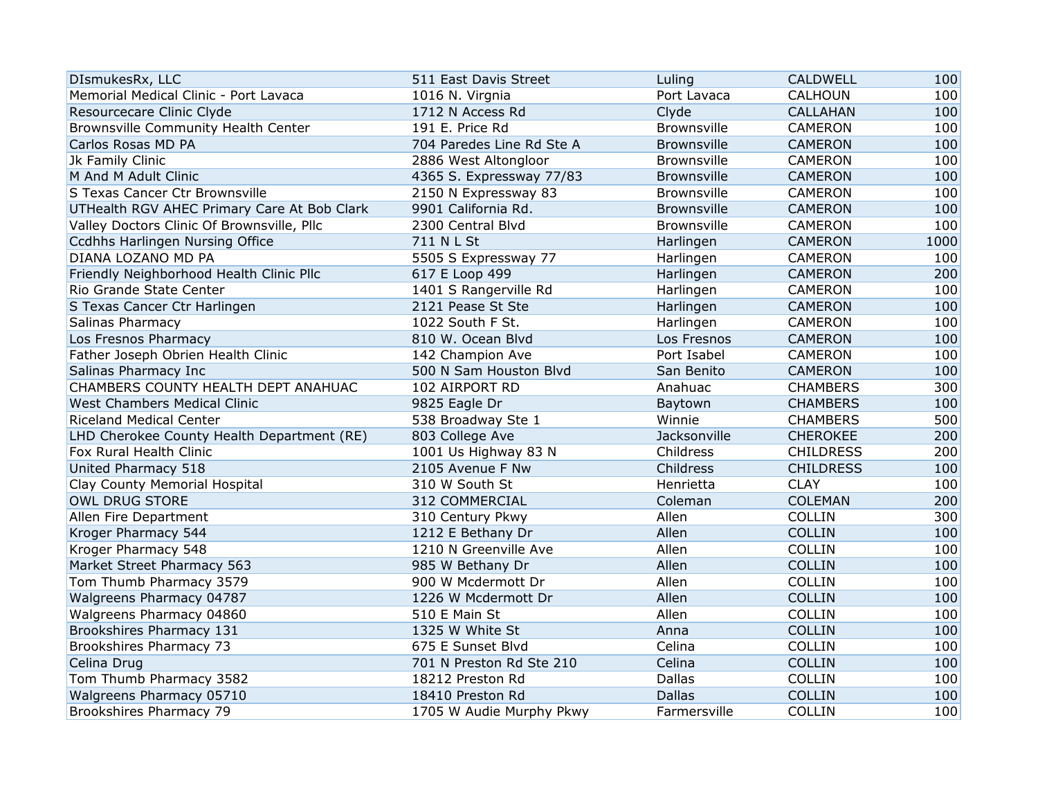| DIsmukesRx, LLC                             | 511 East Davis Street     | Luling             | <b>CALDWELL</b>  | 100  |
|---------------------------------------------|---------------------------|--------------------|------------------|------|
| Memorial Medical Clinic - Port Lavaca       | 1016 N. Virgnia           | Port Lavaca        | <b>CALHOUN</b>   | 100  |
| Resourcecare Clinic Clyde                   | 1712 N Access Rd          | Clyde              | <b>CALLAHAN</b>  | 100  |
| Brownsville Community Health Center         | 191 E. Price Rd           | Brownsville        | <b>CAMERON</b>   | 100  |
| Carlos Rosas MD PA                          | 704 Paredes Line Rd Ste A | <b>Brownsville</b> | <b>CAMERON</b>   | 100  |
| Jk Family Clinic                            | 2886 West Altongloor      | Brownsville        | <b>CAMERON</b>   | 100  |
| M And M Adult Clinic                        | 4365 S. Expressway 77/83  | <b>Brownsville</b> | <b>CAMERON</b>   | 100  |
| S Texas Cancer Ctr Brownsville              | 2150 N Expressway 83      | Brownsville        | <b>CAMERON</b>   | 100  |
| UTHealth RGV AHEC Primary Care At Bob Clark | 9901 California Rd.       | <b>Brownsville</b> | <b>CAMERON</b>   | 100  |
| Valley Doctors Clinic Of Brownsville, Pllc  | 2300 Central Blvd         | Brownsville        | <b>CAMERON</b>   | 100  |
| Ccdhhs Harlingen Nursing Office             | 711 N L St                | Harlingen          | <b>CAMERON</b>   | 1000 |
| DIANA LOZANO MD PA                          | 5505 S Expressway 77      | Harlingen          | <b>CAMERON</b>   | 100  |
| Friendly Neighborhood Health Clinic Pllc    | 617 E Loop 499            | Harlingen          | <b>CAMERON</b>   | 200  |
| Rio Grande State Center                     | 1401 S Rangerville Rd     | Harlingen          | <b>CAMERON</b>   | 100  |
| S Texas Cancer Ctr Harlingen                | 2121 Pease St Ste         | Harlingen          | <b>CAMERON</b>   | 100  |
| Salinas Pharmacy                            | 1022 South F St.          | Harlingen          | <b>CAMERON</b>   | 100  |
| Los Fresnos Pharmacy                        | 810 W. Ocean Blvd         | Los Fresnos        | <b>CAMERON</b>   | 100  |
| Father Joseph Obrien Health Clinic          | 142 Champion Ave          | Port Isabel        | CAMERON          | 100  |
| Salinas Pharmacy Inc                        | 500 N Sam Houston Blvd    | San Benito         | <b>CAMERON</b>   | 100  |
| CHAMBERS COUNTY HEALTH DEPT ANAHUAC         | 102 AIRPORT RD            | Anahuac            | <b>CHAMBERS</b>  | 300  |
| West Chambers Medical Clinic                | 9825 Eagle Dr             | Baytown            | <b>CHAMBERS</b>  | 100  |
| <b>Riceland Medical Center</b>              | 538 Broadway Ste 1        | Winnie             | <b>CHAMBERS</b>  | 500  |
| LHD Cherokee County Health Department (RE)  | 803 College Ave           | Jacksonville       | <b>CHEROKEE</b>  | 200  |
| Fox Rural Health Clinic                     | 1001 Us Highway 83 N      | Childress          | <b>CHILDRESS</b> | 200  |
| United Pharmacy 518                         | 2105 Avenue F Nw          | Childress          | <b>CHILDRESS</b> | 100  |
| Clay County Memorial Hospital               | 310 W South St            | Henrietta          | <b>CLAY</b>      | 100  |
| <b>OWL DRUG STORE</b>                       | 312 COMMERCIAL            | Coleman            | <b>COLEMAN</b>   | 200  |
| Allen Fire Department                       | 310 Century Pkwy          | Allen              | <b>COLLIN</b>    | 300  |
| Kroger Pharmacy 544                         | 1212 E Bethany Dr         | Allen              | <b>COLLIN</b>    | 100  |
| Kroger Pharmacy 548                         | 1210 N Greenville Ave     | Allen              | <b>COLLIN</b>    | 100  |
| Market Street Pharmacy 563                  | 985 W Bethany Dr          | Allen              | <b>COLLIN</b>    | 100  |
| Tom Thumb Pharmacy 3579                     | 900 W Mcdermott Dr        | Allen              | <b>COLLIN</b>    | 100  |
| Walgreens Pharmacy 04787                    | 1226 W Mcdermott Dr       | Allen              | <b>COLLIN</b>    | 100  |
| Walgreens Pharmacy 04860                    | 510 E Main St             | Allen              | <b>COLLIN</b>    | 100  |
| Brookshires Pharmacy 131                    | 1325 W White St           | Anna               | <b>COLLIN</b>    | 100  |
| Brookshires Pharmacy 73                     | 675 E Sunset Blvd         | Celina             | COLLIN           | 100  |
| Celina Drug                                 | 701 N Preston Rd Ste 210  | Celina             | <b>COLLIN</b>    | 100  |
| Tom Thumb Pharmacy 3582                     | 18212 Preston Rd          | <b>Dallas</b>      | <b>COLLIN</b>    | 100  |
| Walgreens Pharmacy 05710                    | 18410 Preston Rd          | <b>Dallas</b>      | <b>COLLIN</b>    | 100  |
| Brookshires Pharmacy 79                     | 1705 W Audie Murphy Pkwy  | Farmersville       | <b>COLLIN</b>    | 100  |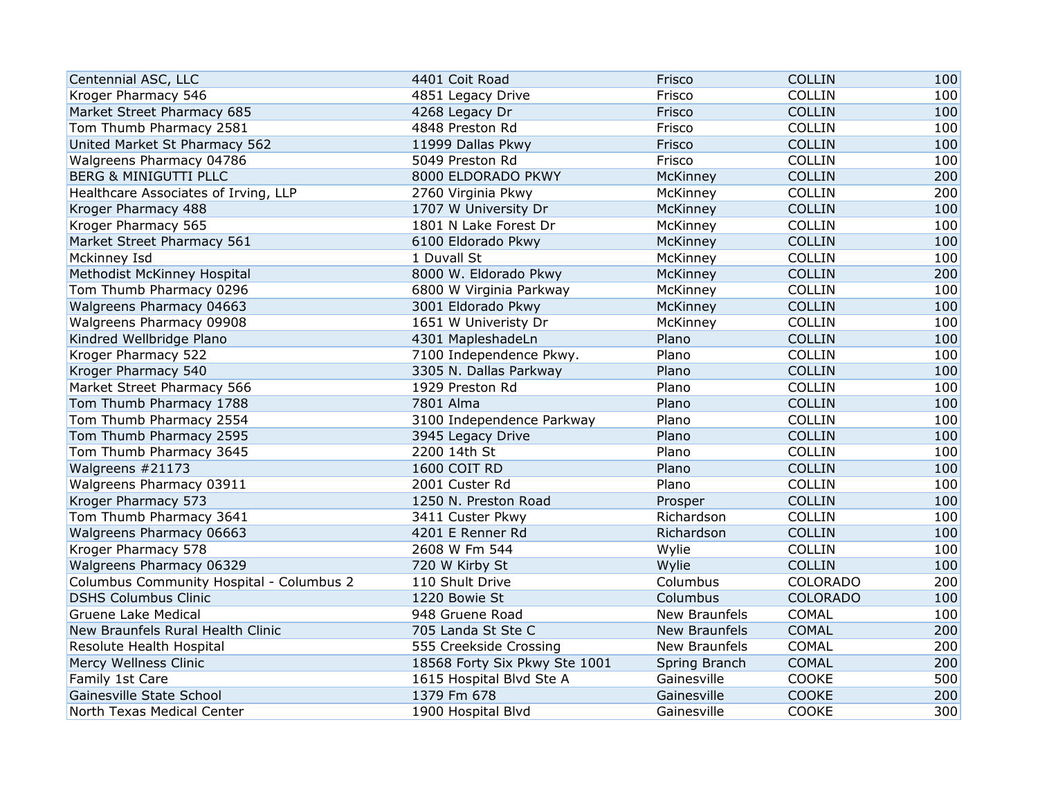| Centennial ASC, LLC                      | 4401 Coit Road                | Frisco               | <b>COLLIN</b>   | 100 |
|------------------------------------------|-------------------------------|----------------------|-----------------|-----|
| Kroger Pharmacy 546                      | 4851 Legacy Drive             | Frisco               | COLLIN          | 100 |
| Market Street Pharmacy 685               | 4268 Legacy Dr                | Frisco               | <b>COLLIN</b>   | 100 |
| Tom Thumb Pharmacy 2581                  | 4848 Preston Rd               | Frisco               | COLLIN          | 100 |
| United Market St Pharmacy 562            | 11999 Dallas Pkwy             | Frisco               | <b>COLLIN</b>   | 100 |
| Walgreens Pharmacy 04786                 | 5049 Preston Rd               | Frisco               | <b>COLLIN</b>   | 100 |
| <b>BERG &amp; MINIGUTTI PLLC</b>         | 8000 ELDORADO PKWY            | McKinney             | <b>COLLIN</b>   | 200 |
| Healthcare Associates of Irving, LLP     | 2760 Virginia Pkwy            | McKinney             | COLLIN          | 200 |
| Kroger Pharmacy 488                      | 1707 W University Dr          | McKinney             | <b>COLLIN</b>   | 100 |
| Kroger Pharmacy 565                      | 1801 N Lake Forest Dr         | McKinney             | <b>COLLIN</b>   | 100 |
| Market Street Pharmacy 561               | 6100 Eldorado Pkwy            | McKinney             | <b>COLLIN</b>   | 100 |
| Mckinney Isd                             | 1 Duvall St                   | McKinney             | COLLIN          | 100 |
| Methodist McKinney Hospital              | 8000 W. Eldorado Pkwy         | McKinney             | <b>COLLIN</b>   | 200 |
| Tom Thumb Pharmacy 0296                  | 6800 W Virginia Parkway       | McKinney             | COLLIN          | 100 |
| Walgreens Pharmacy 04663                 | 3001 Eldorado Pkwy            | McKinney             | <b>COLLIN</b>   | 100 |
| Walgreens Pharmacy 09908                 | 1651 W Univeristy Dr          | McKinney             | COLLIN          | 100 |
| Kindred Wellbridge Plano                 | 4301 MapleshadeLn             | Plano                | <b>COLLIN</b>   | 100 |
| Kroger Pharmacy 522                      | 7100 Independence Pkwy.       | Plano                | COLLIN          | 100 |
| Kroger Pharmacy 540                      | 3305 N. Dallas Parkway        | Plano                | <b>COLLIN</b>   | 100 |
| Market Street Pharmacy 566               | 1929 Preston Rd               | Plano                | <b>COLLIN</b>   | 100 |
| Tom Thumb Pharmacy 1788                  | 7801 Alma                     | Plano                | <b>COLLIN</b>   | 100 |
| Tom Thumb Pharmacy 2554                  | 3100 Independence Parkway     | Plano                | <b>COLLIN</b>   | 100 |
| Tom Thumb Pharmacy 2595                  | 3945 Legacy Drive             | Plano                | <b>COLLIN</b>   | 100 |
| Tom Thumb Pharmacy 3645                  | 2200 14th St                  | Plano                | COLLIN          | 100 |
| Walgreens #21173                         | 1600 COIT RD                  | Plano                | <b>COLLIN</b>   | 100 |
| Walgreens Pharmacy 03911                 | 2001 Custer Rd                | Plano                | COLLIN          | 100 |
| Kroger Pharmacy 573                      | 1250 N. Preston Road          | Prosper              | <b>COLLIN</b>   | 100 |
| Tom Thumb Pharmacy 3641                  | 3411 Custer Pkwy              | Richardson           | <b>COLLIN</b>   | 100 |
| Walgreens Pharmacy 06663                 | 4201 E Renner Rd              | Richardson           | <b>COLLIN</b>   | 100 |
| Kroger Pharmacy 578                      | 2608 W Fm 544                 | Wylie                | <b>COLLIN</b>   | 100 |
| Walgreens Pharmacy 06329                 | 720 W Kirby St                | Wylie                | <b>COLLIN</b>   | 100 |
| Columbus Community Hospital - Columbus 2 | 110 Shult Drive               | Columbus             | <b>COLORADO</b> | 200 |
| <b>DSHS Columbus Clinic</b>              | 1220 Bowie St                 | Columbus             | <b>COLORADO</b> | 100 |
| <b>Gruene Lake Medical</b>               | 948 Gruene Road               | New Braunfels        | <b>COMAL</b>    | 100 |
| New Braunfels Rural Health Clinic        | 705 Landa St Ste C            | <b>New Braunfels</b> | <b>COMAL</b>    | 200 |
| Resolute Health Hospital                 | 555 Creekside Crossing        | New Braunfels        | COMAL           | 200 |
| Mercy Wellness Clinic                    | 18568 Forty Six Pkwy Ste 1001 | Spring Branch        | <b>COMAL</b>    | 200 |
| Family 1st Care                          | 1615 Hospital Blvd Ste A      | Gainesville          | COOKE           | 500 |
| Gainesville State School                 | 1379 Fm 678                   | Gainesville          | <b>COOKE</b>    | 200 |
| North Texas Medical Center               | 1900 Hospital Blvd            | Gainesville          | COOKE           | 300 |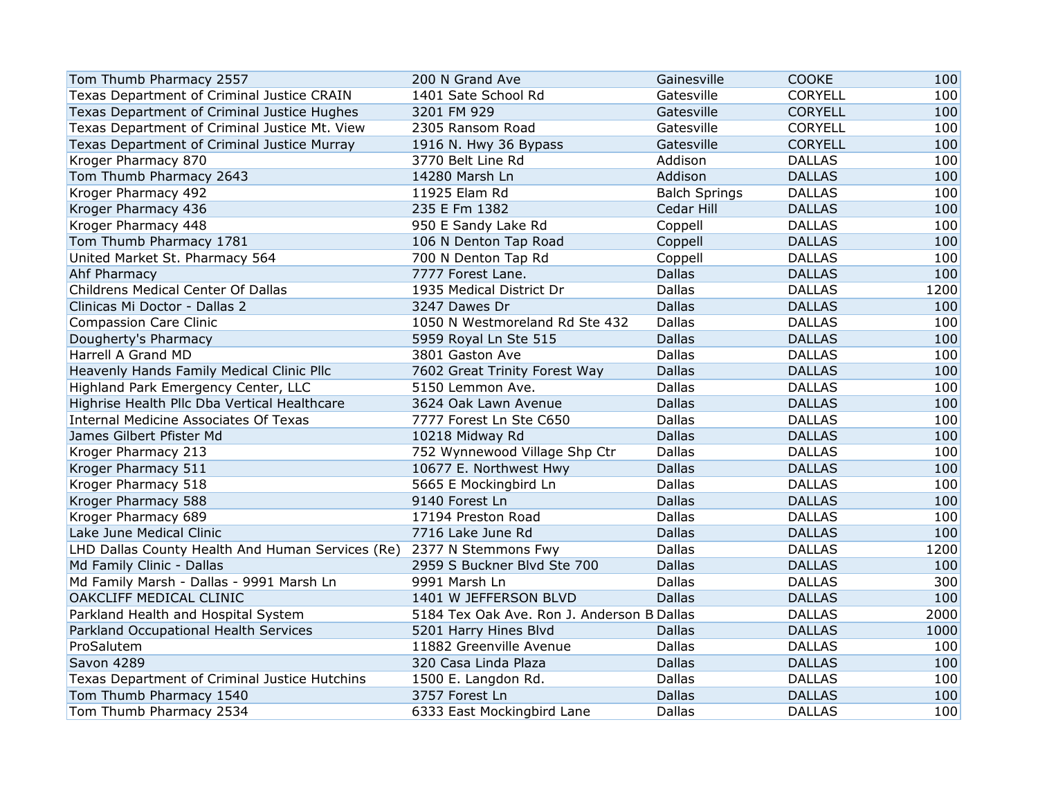| Tom Thumb Pharmacy 2557                          | 200 N Grand Ave                            | Gainesville          | <b>COOKE</b>   | 100  |
|--------------------------------------------------|--------------------------------------------|----------------------|----------------|------|
| Texas Department of Criminal Justice CRAIN       | 1401 Sate School Rd                        | Gatesville           | <b>CORYELL</b> | 100  |
| Texas Department of Criminal Justice Hughes      | 3201 FM 929                                | Gatesville           | <b>CORYELL</b> | 100  |
| Texas Department of Criminal Justice Mt. View    | 2305 Ransom Road                           | Gatesville           | <b>CORYELL</b> | 100  |
| Texas Department of Criminal Justice Murray      | 1916 N. Hwy 36 Bypass                      | Gatesville           | <b>CORYELL</b> | 100  |
| Kroger Pharmacy 870                              | 3770 Belt Line Rd                          | Addison              | <b>DALLAS</b>  | 100  |
| Tom Thumb Pharmacy 2643                          | 14280 Marsh Ln                             | Addison              | <b>DALLAS</b>  | 100  |
| Kroger Pharmacy 492                              | 11925 Elam Rd                              | <b>Balch Springs</b> | <b>DALLAS</b>  | 100  |
| Kroger Pharmacy 436                              | 235 E Fm 1382                              | Cedar Hill           | <b>DALLAS</b>  | 100  |
| Kroger Pharmacy 448                              | 950 E Sandy Lake Rd                        | Coppell              | <b>DALLAS</b>  | 100  |
| Tom Thumb Pharmacy 1781                          | 106 N Denton Tap Road                      | Coppell              | <b>DALLAS</b>  | 100  |
| United Market St. Pharmacy 564                   | 700 N Denton Tap Rd                        | Coppell              | <b>DALLAS</b>  | 100  |
| Ahf Pharmacy                                     | 7777 Forest Lane.                          | <b>Dallas</b>        | <b>DALLAS</b>  | 100  |
| Childrens Medical Center Of Dallas               | 1935 Medical District Dr                   | <b>Dallas</b>        | <b>DALLAS</b>  | 1200 |
| Clinicas Mi Doctor - Dallas 2                    | 3247 Dawes Dr                              | <b>Dallas</b>        | <b>DALLAS</b>  | 100  |
| <b>Compassion Care Clinic</b>                    | 1050 N Westmoreland Rd Ste 432             | Dallas               | <b>DALLAS</b>  | 100  |
| Dougherty's Pharmacy                             | 5959 Royal Ln Ste 515                      | <b>Dallas</b>        | <b>DALLAS</b>  | 100  |
| Harrell A Grand MD                               | 3801 Gaston Ave                            | Dallas               | <b>DALLAS</b>  | 100  |
| Heavenly Hands Family Medical Clinic Pllc        | 7602 Great Trinity Forest Way              | <b>Dallas</b>        | <b>DALLAS</b>  | 100  |
| Highland Park Emergency Center, LLC              | 5150 Lemmon Ave.                           | Dallas               | <b>DALLAS</b>  | 100  |
| Highrise Health Pllc Dba Vertical Healthcare     | 3624 Oak Lawn Avenue                       | <b>Dallas</b>        | <b>DALLAS</b>  | 100  |
| <b>Internal Medicine Associates Of Texas</b>     | 7777 Forest Ln Ste C650                    | <b>Dallas</b>        | <b>DALLAS</b>  | 100  |
| James Gilbert Pfister Md                         | 10218 Midway Rd                            | <b>Dallas</b>        | <b>DALLAS</b>  | 100  |
| Kroger Pharmacy 213                              | 752 Wynnewood Village Shp Ctr              | <b>Dallas</b>        | <b>DALLAS</b>  | 100  |
| Kroger Pharmacy 511                              | 10677 E. Northwest Hwy                     | <b>Dallas</b>        | <b>DALLAS</b>  | 100  |
| Kroger Pharmacy 518                              | 5665 E Mockingbird Ln                      | Dallas               | <b>DALLAS</b>  | 100  |
| Kroger Pharmacy 588                              | 9140 Forest Ln                             | <b>Dallas</b>        | <b>DALLAS</b>  | 100  |
| Kroger Pharmacy 689                              | 17194 Preston Road                         | <b>Dallas</b>        | <b>DALLAS</b>  | 100  |
| Lake June Medical Clinic                         | 7716 Lake June Rd                          | <b>Dallas</b>        | <b>DALLAS</b>  | 100  |
| LHD Dallas County Health And Human Services (Re) | 2377 N Stemmons Fwy                        | <b>Dallas</b>        | <b>DALLAS</b>  | 1200 |
| Md Family Clinic - Dallas                        | 2959 S Buckner Blvd Ste 700                | <b>Dallas</b>        | <b>DALLAS</b>  | 100  |
| Md Family Marsh - Dallas - 9991 Marsh Ln         | 9991 Marsh Ln                              | <b>Dallas</b>        | <b>DALLAS</b>  | 300  |
| OAKCLIFF MEDICAL CLINIC                          | 1401 W JEFFERSON BLVD                      | <b>Dallas</b>        | <b>DALLAS</b>  | 100  |
| Parkland Health and Hospital System              | 5184 Tex Oak Ave. Ron J. Anderson B Dallas |                      | <b>DALLAS</b>  | 2000 |
| Parkland Occupational Health Services            | 5201 Harry Hines Blvd                      | <b>Dallas</b>        | <b>DALLAS</b>  | 1000 |
| ProSalutem                                       | 11882 Greenville Avenue                    | Dallas               | <b>DALLAS</b>  | 100  |
| Savon 4289                                       | 320 Casa Linda Plaza                       | <b>Dallas</b>        | <b>DALLAS</b>  | 100  |
| Texas Department of Criminal Justice Hutchins    | 1500 E. Langdon Rd.                        | <b>Dallas</b>        | <b>DALLAS</b>  | 100  |
| Tom Thumb Pharmacy 1540                          | 3757 Forest Ln                             | <b>Dallas</b>        | <b>DALLAS</b>  | 100  |
| Tom Thumb Pharmacy 2534                          | 6333 East Mockingbird Lane                 | Dallas               | <b>DALLAS</b>  | 100  |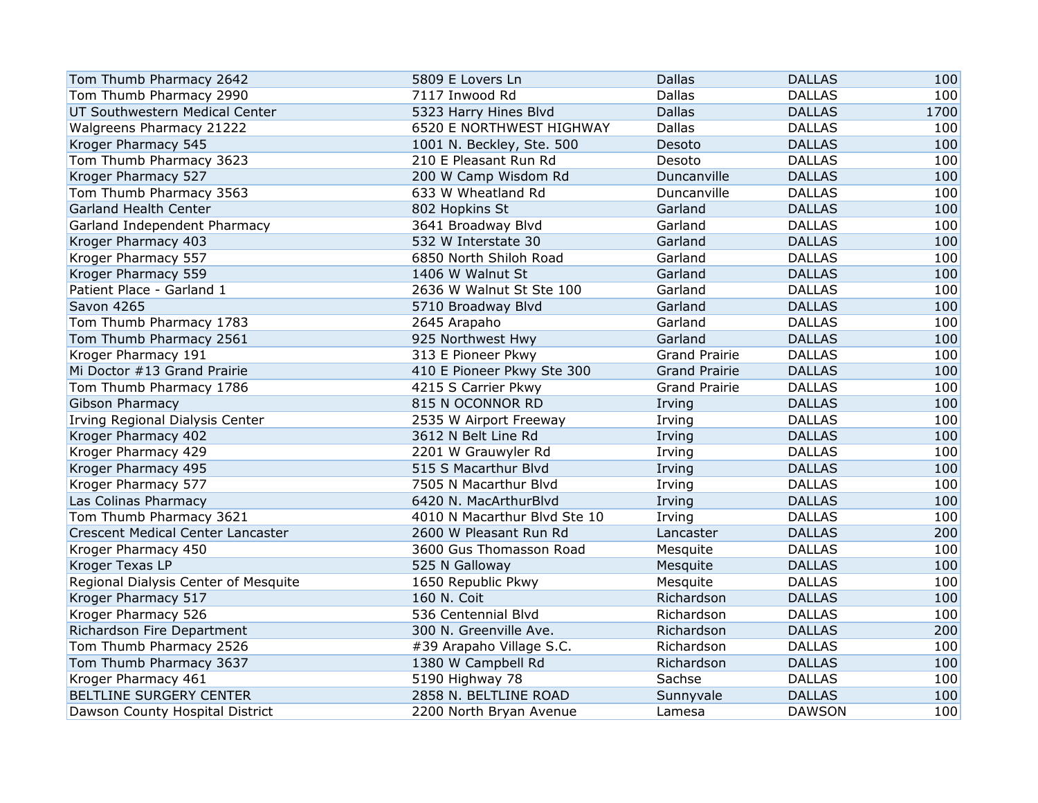| Tom Thumb Pharmacy 2642              | 5809 E Lovers Ln             | <b>Dallas</b>        | <b>DALLAS</b> | 100  |
|--------------------------------------|------------------------------|----------------------|---------------|------|
| Tom Thumb Pharmacy 2990              | 7117 Inwood Rd               | <b>Dallas</b>        | <b>DALLAS</b> | 100  |
| UT Southwestern Medical Center       | 5323 Harry Hines Blvd        | <b>Dallas</b>        | <b>DALLAS</b> | 1700 |
| Walgreens Pharmacy 21222             | 6520 E NORTHWEST HIGHWAY     | <b>Dallas</b>        | <b>DALLAS</b> | 100  |
| Kroger Pharmacy 545                  | 1001 N. Beckley, Ste. 500    | Desoto               | <b>DALLAS</b> | 100  |
| Tom Thumb Pharmacy 3623              | 210 E Pleasant Run Rd        | Desoto               | <b>DALLAS</b> | 100  |
| Kroger Pharmacy 527                  | 200 W Camp Wisdom Rd         | Duncanville          | <b>DALLAS</b> | 100  |
| Tom Thumb Pharmacy 3563              | 633 W Wheatland Rd           | Duncanville          | <b>DALLAS</b> | 100  |
| <b>Garland Health Center</b>         | 802 Hopkins St               | Garland              | <b>DALLAS</b> | 100  |
| Garland Independent Pharmacy         | 3641 Broadway Blvd           | Garland              | <b>DALLAS</b> | 100  |
| Kroger Pharmacy 403                  | 532 W Interstate 30          | Garland              | <b>DALLAS</b> | 100  |
| Kroger Pharmacy 557                  | 6850 North Shiloh Road       | Garland              | <b>DALLAS</b> | 100  |
| Kroger Pharmacy 559                  | 1406 W Walnut St             | Garland              | <b>DALLAS</b> | 100  |
| Patient Place - Garland 1            | 2636 W Walnut St Ste 100     | Garland              | <b>DALLAS</b> | 100  |
| <b>Savon 4265</b>                    | 5710 Broadway Blvd           | Garland              | <b>DALLAS</b> | 100  |
| Tom Thumb Pharmacy 1783              | 2645 Arapaho                 | Garland              | <b>DALLAS</b> | 100  |
| Tom Thumb Pharmacy 2561              | 925 Northwest Hwy            | Garland              | <b>DALLAS</b> | 100  |
| Kroger Pharmacy 191                  | 313 E Pioneer Pkwy           | <b>Grand Prairie</b> | <b>DALLAS</b> | 100  |
| Mi Doctor #13 Grand Prairie          | 410 E Pioneer Pkwy Ste 300   | <b>Grand Prairie</b> | <b>DALLAS</b> | 100  |
| Tom Thumb Pharmacy 1786              | 4215 S Carrier Pkwy          | <b>Grand Prairie</b> | <b>DALLAS</b> | 100  |
| Gibson Pharmacy                      | 815 N OCONNOR RD             | Irving               | <b>DALLAS</b> | 100  |
| Irving Regional Dialysis Center      | 2535 W Airport Freeway       | Irving               | <b>DALLAS</b> | 100  |
| Kroger Pharmacy 402                  | 3612 N Belt Line Rd          | Irving               | <b>DALLAS</b> | 100  |
| Kroger Pharmacy 429                  | 2201 W Grauwyler Rd          | Irving               | <b>DALLAS</b> | 100  |
| Kroger Pharmacy 495                  | 515 S Macarthur Blvd         | Irving               | <b>DALLAS</b> | 100  |
| Kroger Pharmacy 577                  | 7505 N Macarthur Blvd        | Irving               | <b>DALLAS</b> | 100  |
| Las Colinas Pharmacy                 | 6420 N. MacArthurBlvd        | Irving               | <b>DALLAS</b> | 100  |
| Tom Thumb Pharmacy 3621              | 4010 N Macarthur Blvd Ste 10 | Irving               | <b>DALLAS</b> | 100  |
| Crescent Medical Center Lancaster    | 2600 W Pleasant Run Rd       | Lancaster            | <b>DALLAS</b> | 200  |
| Kroger Pharmacy 450                  | 3600 Gus Thomasson Road      | Mesquite             | <b>DALLAS</b> | 100  |
| Kroger Texas LP                      | 525 N Galloway               | Mesquite             | <b>DALLAS</b> | 100  |
| Regional Dialysis Center of Mesquite | 1650 Republic Pkwy           | Mesquite             | <b>DALLAS</b> | 100  |
| Kroger Pharmacy 517                  | 160 N. Coit                  | Richardson           | <b>DALLAS</b> | 100  |
| Kroger Pharmacy 526                  | 536 Centennial Blvd          | Richardson           | <b>DALLAS</b> | 100  |
| Richardson Fire Department           | 300 N. Greenville Ave.       | Richardson           | <b>DALLAS</b> | 200  |
| Tom Thumb Pharmacy 2526              | #39 Arapaho Village S.C.     | Richardson           | <b>DALLAS</b> | 100  |
| Tom Thumb Pharmacy 3637              | 1380 W Campbell Rd           | Richardson           | <b>DALLAS</b> | 100  |
| Kroger Pharmacy 461                  | 5190 Highway 78              | Sachse               | <b>DALLAS</b> | 100  |
| <b>BELTLINE SURGERY CENTER</b>       | 2858 N. BELTLINE ROAD        | Sunnyvale            | <b>DALLAS</b> | 100  |
| Dawson County Hospital District      | 2200 North Bryan Avenue      | Lamesa               | <b>DAWSON</b> | 100  |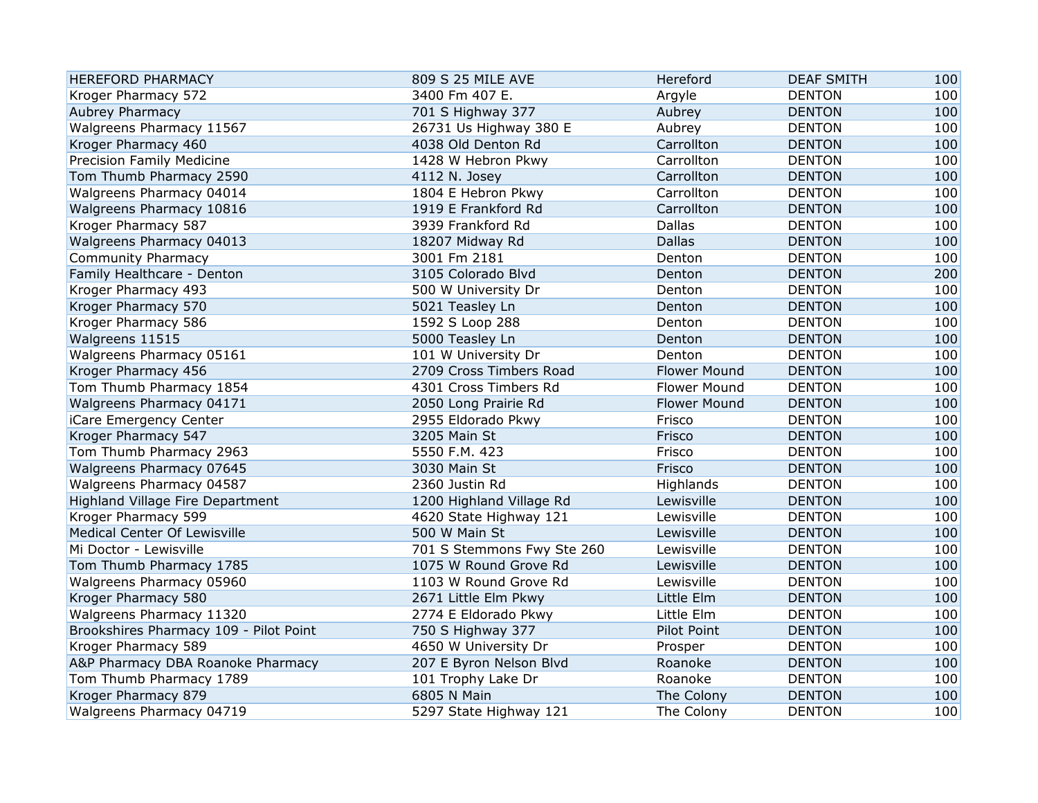| <b>HEREFORD PHARMACY</b>               | 809 S 25 MILE AVE          | Hereford            | <b>DEAF SMITH</b> | 100 |
|----------------------------------------|----------------------------|---------------------|-------------------|-----|
| Kroger Pharmacy 572                    | 3400 Fm 407 E.             | Argyle              | <b>DENTON</b>     | 100 |
| Aubrey Pharmacy                        | 701 S Highway 377          | Aubrey              | <b>DENTON</b>     | 100 |
| Walgreens Pharmacy 11567               | 26731 Us Highway 380 E     | Aubrey              | <b>DENTON</b>     | 100 |
| Kroger Pharmacy 460                    | 4038 Old Denton Rd         | Carrollton          | <b>DENTON</b>     | 100 |
| Precision Family Medicine              | 1428 W Hebron Pkwy         | Carrollton          | <b>DENTON</b>     | 100 |
| Tom Thumb Pharmacy 2590                | 4112 N. Josey              | Carrollton          | <b>DENTON</b>     | 100 |
| Walgreens Pharmacy 04014               | 1804 E Hebron Pkwy         | Carrollton          | <b>DENTON</b>     | 100 |
| Walgreens Pharmacy 10816               | 1919 E Frankford Rd        | Carrollton          | <b>DENTON</b>     | 100 |
| Kroger Pharmacy 587                    | 3939 Frankford Rd          | Dallas              | <b>DENTON</b>     | 100 |
| Walgreens Pharmacy 04013               | 18207 Midway Rd            | <b>Dallas</b>       | <b>DENTON</b>     | 100 |
| <b>Community Pharmacy</b>              | 3001 Fm 2181               | Denton              | <b>DENTON</b>     | 100 |
| Family Healthcare - Denton             | 3105 Colorado Blvd         | Denton              | <b>DENTON</b>     | 200 |
| Kroger Pharmacy 493                    | 500 W University Dr        | Denton              | <b>DENTON</b>     | 100 |
| Kroger Pharmacy 570                    | 5021 Teasley Ln            | Denton              | <b>DENTON</b>     | 100 |
| Kroger Pharmacy 586                    | 1592 S Loop 288            | Denton              | <b>DENTON</b>     | 100 |
| Walgreens 11515                        | 5000 Teasley Ln            | Denton              | <b>DENTON</b>     | 100 |
| Walgreens Pharmacy 05161               | 101 W University Dr        | Denton              | <b>DENTON</b>     | 100 |
| Kroger Pharmacy 456                    | 2709 Cross Timbers Road    | <b>Flower Mound</b> | <b>DENTON</b>     | 100 |
| Tom Thumb Pharmacy 1854                | 4301 Cross Timbers Rd      | Flower Mound        | <b>DENTON</b>     | 100 |
| Walgreens Pharmacy 04171               | 2050 Long Prairie Rd       | <b>Flower Mound</b> | <b>DENTON</b>     | 100 |
| iCare Emergency Center                 | 2955 Eldorado Pkwy         | Frisco              | <b>DENTON</b>     | 100 |
| Kroger Pharmacy 547                    | 3205 Main St               | Frisco              | <b>DENTON</b>     | 100 |
| Tom Thumb Pharmacy 2963                | 5550 F.M. 423              | Frisco              | <b>DENTON</b>     | 100 |
| Walgreens Pharmacy 07645               | 3030 Main St               | Frisco              | <b>DENTON</b>     | 100 |
| Walgreens Pharmacy 04587               | 2360 Justin Rd             | Highlands           | <b>DENTON</b>     | 100 |
| Highland Village Fire Department       | 1200 Highland Village Rd   | Lewisville          | <b>DENTON</b>     | 100 |
| Kroger Pharmacy 599                    | 4620 State Highway 121     | Lewisville          | <b>DENTON</b>     | 100 |
| Medical Center Of Lewisville           | 500 W Main St              | Lewisville          | <b>DENTON</b>     | 100 |
| Mi Doctor - Lewisville                 | 701 S Stemmons Fwy Ste 260 | Lewisville          | <b>DENTON</b>     | 100 |
| Tom Thumb Pharmacy 1785                | 1075 W Round Grove Rd      | Lewisville          | <b>DENTON</b>     | 100 |
| Walgreens Pharmacy 05960               | 1103 W Round Grove Rd      | Lewisville          | <b>DENTON</b>     | 100 |
| Kroger Pharmacy 580                    | 2671 Little Elm Pkwy       | Little Elm          | <b>DENTON</b>     | 100 |
| Walgreens Pharmacy 11320               | 2774 E Eldorado Pkwy       | Little Elm          | <b>DENTON</b>     | 100 |
| Brookshires Pharmacy 109 - Pilot Point | 750 S Highway 377          | Pilot Point         | <b>DENTON</b>     | 100 |
| Kroger Pharmacy 589                    | 4650 W University Dr       | Prosper             | <b>DENTON</b>     | 100 |
| A&P Pharmacy DBA Roanoke Pharmacy      | 207 E Byron Nelson Blvd    | Roanoke             | <b>DENTON</b>     | 100 |
| Tom Thumb Pharmacy 1789                | 101 Trophy Lake Dr         | Roanoke             | <b>DENTON</b>     | 100 |
| Kroger Pharmacy 879                    | 6805 N Main                | The Colony          | <b>DENTON</b>     | 100 |
| Walgreens Pharmacy 04719               | 5297 State Highway 121     | The Colony          | <b>DENTON</b>     | 100 |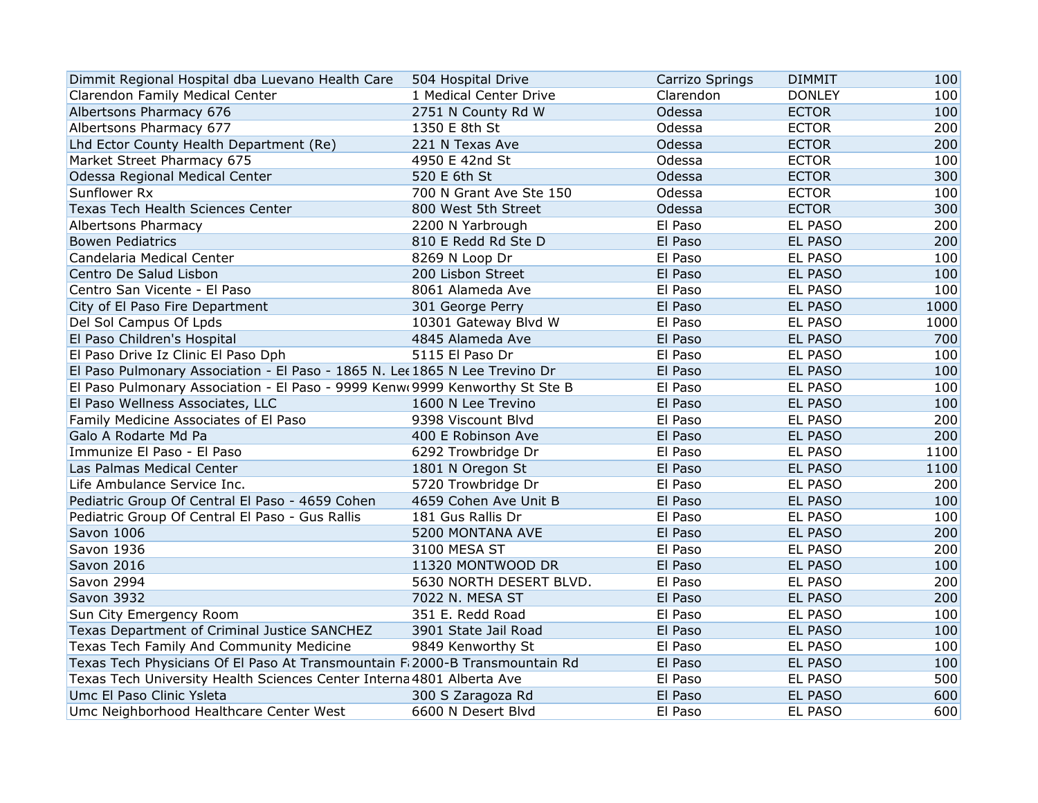| Dimmit Regional Hospital dba Luevano Health Care                                      | 504 Hospital Drive      | Carrizo Springs | <b>DIMMIT</b>  | 100  |
|---------------------------------------------------------------------------------------|-------------------------|-----------------|----------------|------|
| Clarendon Family Medical Center                                                       | 1 Medical Center Drive  | Clarendon       | <b>DONLEY</b>  | 100  |
| Albertsons Pharmacy 676                                                               | 2751 N County Rd W      | Odessa          | <b>ECTOR</b>   | 100  |
| Albertsons Pharmacy 677                                                               | 1350 E 8th St           | Odessa          | <b>ECTOR</b>   | 200  |
| Lhd Ector County Health Department (Re)                                               | 221 N Texas Ave         | Odessa          | <b>ECTOR</b>   | 200  |
| Market Street Pharmacy 675                                                            | 4950 E 42nd St          | Odessa          | <b>ECTOR</b>   | 100  |
| Odessa Regional Medical Center                                                        | 520 E 6th St            | Odessa          | <b>ECTOR</b>   | 300  |
| Sunflower Rx                                                                          | 700 N Grant Ave Ste 150 | Odessa          | <b>ECTOR</b>   | 100  |
| Texas Tech Health Sciences Center                                                     | 800 West 5th Street     | Odessa          | <b>ECTOR</b>   | 300  |
| Albertsons Pharmacy                                                                   | 2200 N Yarbrough        | El Paso         | EL PASO        | 200  |
| <b>Bowen Pediatrics</b>                                                               | 810 E Redd Rd Ste D     | El Paso         | EL PASO        | 200  |
| Candelaria Medical Center                                                             | 8269 N Loop Dr          | El Paso         | EL PASO        | 100  |
| Centro De Salud Lisbon                                                                | 200 Lisbon Street       | El Paso         | EL PASO        | 100  |
| Centro San Vicente - El Paso                                                          | 8061 Alameda Ave        | El Paso         | EL PASO        | 100  |
| City of El Paso Fire Department                                                       | 301 George Perry        | El Paso         | <b>EL PASO</b> | 1000 |
| Del Sol Campus Of Lpds                                                                | 10301 Gateway Blvd W    | El Paso         | <b>EL PASO</b> | 1000 |
| El Paso Children's Hospital                                                           | 4845 Alameda Ave        | El Paso         | <b>EL PASO</b> | 700  |
| El Paso Drive Iz Clinic El Paso Dph                                                   | 5115 El Paso Dr         | El Paso         | <b>EL PASO</b> | 100  |
| El Paso Pulmonary Association - El Paso - 1865 N. Le $\epsilon$ 1865 N Lee Trevino Dr |                         | El Paso         | <b>EL PASO</b> | 100  |
| El Paso Pulmonary Association - El Paso - 9999 Kenw(9999 Kenworthy St Ste B           |                         | El Paso         | <b>EL PASO</b> | 100  |
| El Paso Wellness Associates, LLC                                                      | 1600 N Lee Trevino      | El Paso         | <b>EL PASO</b> | 100  |
| Family Medicine Associates of El Paso                                                 | 9398 Viscount Blvd      | El Paso         | <b>EL PASO</b> | 200  |
| Galo A Rodarte Md Pa                                                                  | 400 E Robinson Ave      | El Paso         | <b>EL PASO</b> | 200  |
| Immunize El Paso - El Paso                                                            | 6292 Trowbridge Dr      | El Paso         | <b>EL PASO</b> | 1100 |
| Las Palmas Medical Center                                                             | 1801 N Oregon St        | El Paso         | <b>EL PASO</b> | 1100 |
| Life Ambulance Service Inc.                                                           | 5720 Trowbridge Dr      | El Paso         | <b>EL PASO</b> | 200  |
| Pediatric Group Of Central El Paso - 4659 Cohen                                       | 4659 Cohen Ave Unit B   | El Paso         | <b>EL PASO</b> | 100  |
| Pediatric Group Of Central El Paso - Gus Rallis                                       | 181 Gus Rallis Dr       | El Paso         | <b>EL PASO</b> | 100  |
| Savon 1006                                                                            | 5200 MONTANA AVE        | El Paso         | <b>EL PASO</b> | 200  |
| Savon 1936                                                                            | 3100 MESA ST            | El Paso         | EL PASO        | 200  |
| Savon 2016                                                                            | 11320 MONTWOOD DR       | El Paso         | EL PASO        | 100  |
| Savon 2994                                                                            | 5630 NORTH DESERT BLVD. | El Paso         | <b>EL PASO</b> | 200  |
| Savon 3932                                                                            | 7022 N. MESA ST         | El Paso         | <b>EL PASO</b> | 200  |
| Sun City Emergency Room                                                               | 351 E. Redd Road        | El Paso         | <b>EL PASO</b> | 100  |
| Texas Department of Criminal Justice SANCHEZ                                          | 3901 State Jail Road    | El Paso         | <b>EL PASO</b> | 100  |
| Texas Tech Family And Community Medicine                                              | 9849 Kenworthy St       | El Paso         | <b>EL PASO</b> | 100  |
| Texas Tech Physicians Of El Paso At Transmountain Fi 2000-B Transmountain Rd          |                         | El Paso         | <b>EL PASO</b> | 100  |
| Texas Tech University Health Sciences Center Interna 4801 Alberta Ave                 |                         | El Paso         | EL PASO        | 500  |
| Umc El Paso Clinic Ysleta                                                             | 300 S Zaragoza Rd       | El Paso         | EL PASO        | 600  |
| Umc Neighborhood Healthcare Center West                                               | 6600 N Desert Blvd      | El Paso         | <b>EL PASO</b> | 600  |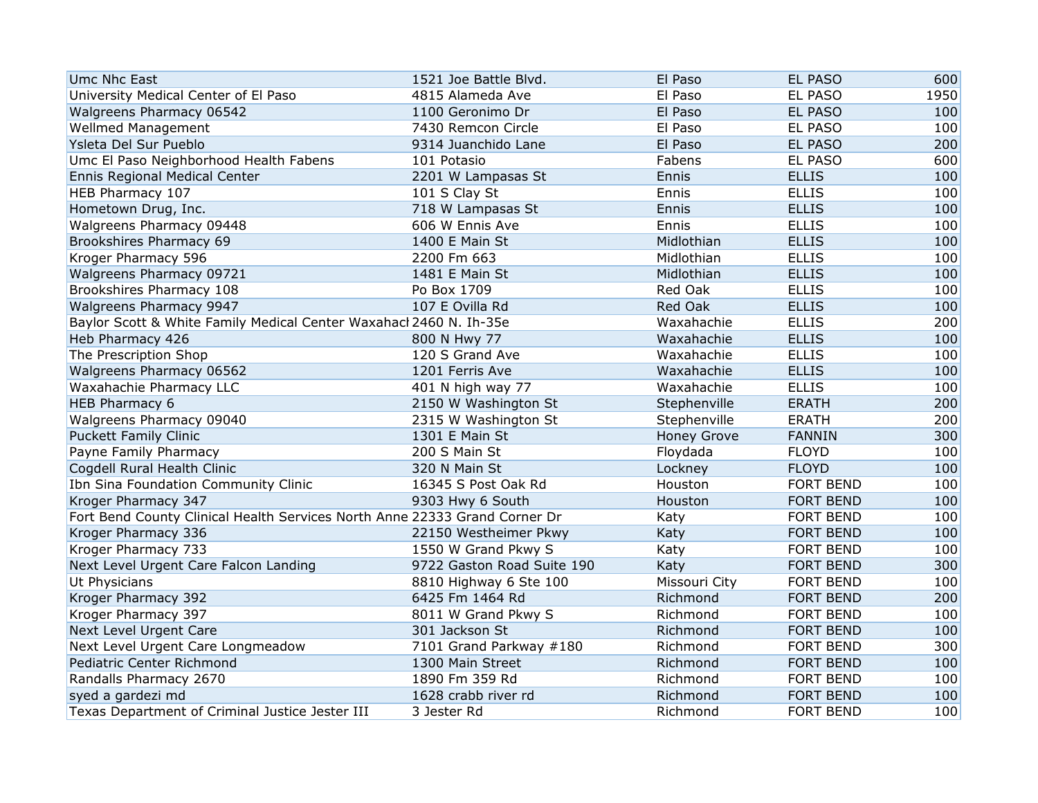| <b>Umc Nhc East</b>                                                        | 1521 Joe Battle Blvd.      | El Paso            | <b>EL PASO</b>   | 600  |
|----------------------------------------------------------------------------|----------------------------|--------------------|------------------|------|
| University Medical Center of El Paso                                       | 4815 Alameda Ave           | El Paso            | EL PASO          | 1950 |
| Walgreens Pharmacy 06542                                                   | 1100 Geronimo Dr           | El Paso            | <b>EL PASO</b>   | 100  |
| <b>Wellmed Management</b>                                                  | 7430 Remcon Circle         | El Paso            | EL PASO          | 100  |
| Ysleta Del Sur Pueblo                                                      | 9314 Juanchido Lane        | El Paso            | <b>EL PASO</b>   | 200  |
| Umc El Paso Neighborhood Health Fabens                                     | 101 Potasio                | Fabens             | <b>EL PASO</b>   | 600  |
| Ennis Regional Medical Center                                              | 2201 W Lampasas St         | Ennis              | <b>ELLIS</b>     | 100  |
| HEB Pharmacy 107                                                           | 101 S Clay St              | Ennis              | <b>ELLIS</b>     | 100  |
| Hometown Drug, Inc.                                                        | 718 W Lampasas St          | Ennis              | <b>ELLIS</b>     | 100  |
| Walgreens Pharmacy 09448                                                   | 606 W Ennis Ave            | Ennis              | <b>ELLIS</b>     | 100  |
| Brookshires Pharmacy 69                                                    | 1400 E Main St             | Midlothian         | <b>ELLIS</b>     | 100  |
| Kroger Pharmacy 596                                                        | 2200 Fm 663                | Midlothian         | <b>ELLIS</b>     | 100  |
| Walgreens Pharmacy 09721                                                   | 1481 E Main St             | Midlothian         | <b>ELLIS</b>     | 100  |
| Brookshires Pharmacy 108                                                   | Po Box 1709                | Red Oak            | <b>ELLIS</b>     | 100  |
| Walgreens Pharmacy 9947                                                    | 107 E Ovilla Rd            | Red Oak            | <b>ELLIS</b>     | 100  |
| Baylor Scott & White Family Medical Center Waxahacl 2460 N. Ih-35e         |                            | Waxahachie         | <b>ELLIS</b>     | 200  |
| Heb Pharmacy 426                                                           | 800 N Hwy 77               | Waxahachie         | <b>ELLIS</b>     | 100  |
| The Prescription Shop                                                      | 120 S Grand Ave            | Waxahachie         | <b>ELLIS</b>     | 100  |
| Walgreens Pharmacy 06562                                                   | 1201 Ferris Ave            | Waxahachie         | <b>ELLIS</b>     | 100  |
| Waxahachie Pharmacy LLC                                                    | 401 N high way 77          | Waxahachie         | <b>ELLIS</b>     | 100  |
| HEB Pharmacy 6                                                             | 2150 W Washington St       | Stephenville       | <b>ERATH</b>     | 200  |
| Walgreens Pharmacy 09040                                                   | 2315 W Washington St       | Stephenville       | <b>ERATH</b>     | 200  |
| <b>Puckett Family Clinic</b>                                               | 1301 E Main St             | <b>Honey Grove</b> | <b>FANNIN</b>    | 300  |
| Payne Family Pharmacy                                                      | 200 S Main St              | Floydada           | <b>FLOYD</b>     | 100  |
| Cogdell Rural Health Clinic                                                | 320 N Main St              | Lockney            | <b>FLOYD</b>     | 100  |
| Ibn Sina Foundation Community Clinic                                       | 16345 S Post Oak Rd        | Houston            | <b>FORT BEND</b> | 100  |
| Kroger Pharmacy 347                                                        | 9303 Hwy 6 South           | Houston            | <b>FORT BEND</b> | 100  |
| Fort Bend County Clinical Health Services North Anne 22333 Grand Corner Dr |                            | Katy               | <b>FORT BEND</b> | 100  |
| Kroger Pharmacy 336                                                        | 22150 Westheimer Pkwy      | Katy               | <b>FORT BEND</b> | 100  |
| Kroger Pharmacy 733                                                        | 1550 W Grand Pkwy S        | Katy               | <b>FORT BEND</b> | 100  |
| Next Level Urgent Care Falcon Landing                                      | 9722 Gaston Road Suite 190 | Katy               | <b>FORT BEND</b> | 300  |
| Ut Physicians                                                              | 8810 Highway 6 Ste 100     | Missouri City      | <b>FORT BEND</b> | 100  |
| Kroger Pharmacy 392                                                        | 6425 Fm 1464 Rd            | Richmond           | <b>FORT BEND</b> | 200  |
| Kroger Pharmacy 397                                                        | 8011 W Grand Pkwy S        | Richmond           | <b>FORT BEND</b> | 100  |
| Next Level Urgent Care                                                     | 301 Jackson St             | Richmond           | <b>FORT BEND</b> | 100  |
| Next Level Urgent Care Longmeadow                                          | 7101 Grand Parkway #180    | Richmond           | <b>FORT BEND</b> | 300  |
| Pediatric Center Richmond                                                  | 1300 Main Street           | Richmond           | <b>FORT BEND</b> | 100  |
| Randalls Pharmacy 2670                                                     | 1890 Fm 359 Rd             | Richmond           | <b>FORT BEND</b> | 100  |
| syed a gardezi md                                                          | 1628 crabb river rd        | Richmond           | <b>FORT BEND</b> | 100  |
| Texas Department of Criminal Justice Jester III                            | 3 Jester Rd                | Richmond           | <b>FORT BEND</b> | 100  |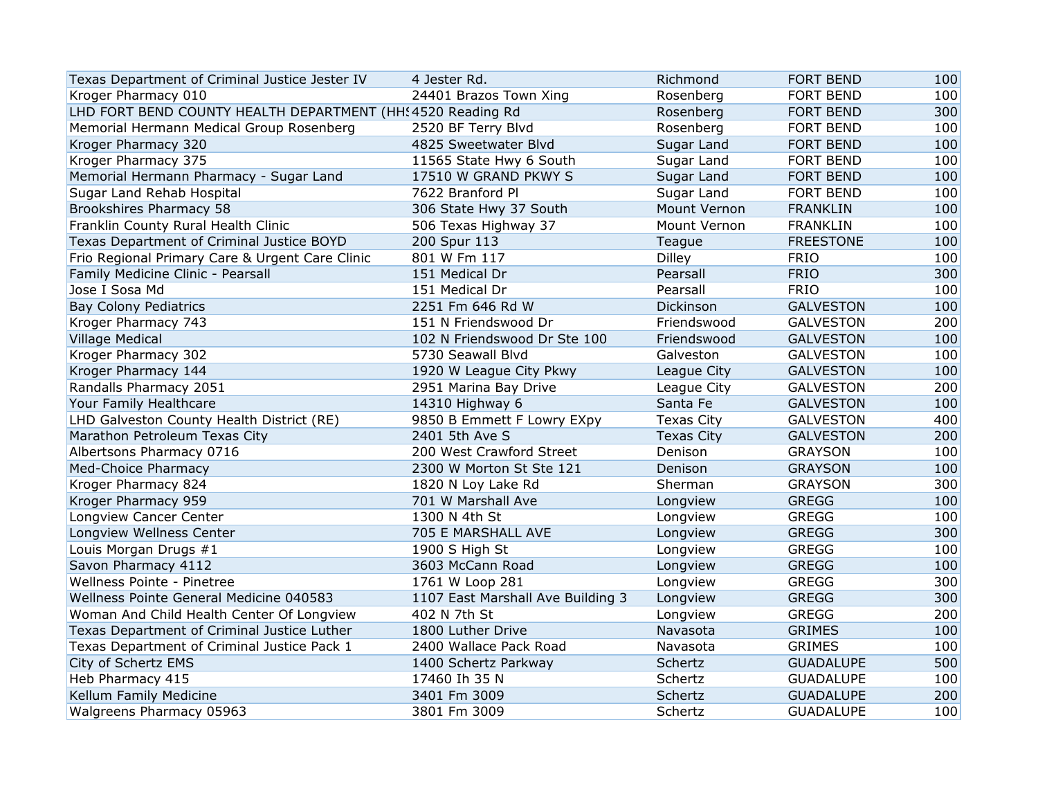| Texas Department of Criminal Justice Jester IV              | 4 Jester Rd.                      | Richmond          | <b>FORT BEND</b> | 100 |
|-------------------------------------------------------------|-----------------------------------|-------------------|------------------|-----|
| Kroger Pharmacy 010                                         | 24401 Brazos Town Xing            | Rosenberg         | <b>FORT BEND</b> | 100 |
| LHD FORT BEND COUNTY HEALTH DEPARTMENT (HH: 4520 Reading Rd |                                   | Rosenberg         | <b>FORT BEND</b> | 300 |
| Memorial Hermann Medical Group Rosenberg                    | 2520 BF Terry Blvd                | Rosenberg         | <b>FORT BEND</b> | 100 |
| Kroger Pharmacy 320                                         | 4825 Sweetwater Blvd              | Sugar Land        | <b>FORT BEND</b> | 100 |
| Kroger Pharmacy 375                                         | 11565 State Hwy 6 South           | Sugar Land        | <b>FORT BEND</b> | 100 |
| Memorial Hermann Pharmacy - Sugar Land                      | 17510 W GRAND PKWY S              | Sugar Land        | <b>FORT BEND</b> | 100 |
| Sugar Land Rehab Hospital                                   | 7622 Branford Pl                  | Sugar Land        | <b>FORT BEND</b> | 100 |
| Brookshires Pharmacy 58                                     | 306 State Hwy 37 South            | Mount Vernon      | <b>FRANKLIN</b>  | 100 |
| Franklin County Rural Health Clinic                         | 506 Texas Highway 37              | Mount Vernon      | <b>FRANKLIN</b>  | 100 |
| Texas Department of Criminal Justice BOYD                   | 200 Spur 113                      | Teague            | <b>FREESTONE</b> | 100 |
| Frio Regional Primary Care & Urgent Care Clinic             | 801 W Fm 117                      | <b>Dilley</b>     | <b>FRIO</b>      | 100 |
| Family Medicine Clinic - Pearsall                           | 151 Medical Dr                    | Pearsall          | <b>FRIO</b>      | 300 |
| Jose I Sosa Md                                              | 151 Medical Dr                    | Pearsall          | <b>FRIO</b>      | 100 |
| <b>Bay Colony Pediatrics</b>                                | 2251 Fm 646 Rd W                  | Dickinson         | <b>GALVESTON</b> | 100 |
| Kroger Pharmacy 743                                         | 151 N Friendswood Dr              | Friendswood       | <b>GALVESTON</b> | 200 |
| <b>Village Medical</b>                                      | 102 N Friendswood Dr Ste 100      | Friendswood       | <b>GALVESTON</b> | 100 |
| Kroger Pharmacy 302                                         | 5730 Seawall Blvd                 | Galveston         | <b>GALVESTON</b> | 100 |
| Kroger Pharmacy 144                                         | 1920 W League City Pkwy           | League City       | <b>GALVESTON</b> | 100 |
| Randalls Pharmacy 2051                                      | 2951 Marina Bay Drive             | League City       | <b>GALVESTON</b> | 200 |
| Your Family Healthcare                                      | 14310 Highway 6                   | Santa Fe          | <b>GALVESTON</b> | 100 |
| LHD Galveston County Health District (RE)                   | 9850 B Emmett F Lowry EXpy        | Texas City        | <b>GALVESTON</b> | 400 |
| Marathon Petroleum Texas City                               | 2401 5th Ave S                    | <b>Texas City</b> | <b>GALVESTON</b> | 200 |
| Albertsons Pharmacy 0716                                    | 200 West Crawford Street          | Denison           | <b>GRAYSON</b>   | 100 |
| Med-Choice Pharmacy                                         | 2300 W Morton St Ste 121          | Denison           | <b>GRAYSON</b>   | 100 |
| Kroger Pharmacy 824                                         | 1820 N Loy Lake Rd                | Sherman           | <b>GRAYSON</b>   | 300 |
| Kroger Pharmacy 959                                         | 701 W Marshall Ave                | Longview          | <b>GREGG</b>     | 100 |
| Longview Cancer Center                                      | 1300 N 4th St                     | Longview          | <b>GREGG</b>     | 100 |
| Longview Wellness Center                                    | 705 E MARSHALL AVE                | Longview          | <b>GREGG</b>     | 300 |
| Louis Morgan Drugs #1                                       | 1900 S High St                    | Longview          | <b>GREGG</b>     | 100 |
| Savon Pharmacy 4112                                         | 3603 McCann Road                  | Longview          | <b>GREGG</b>     | 100 |
| Wellness Pointe - Pinetree                                  | 1761 W Loop 281                   | Longview          | <b>GREGG</b>     | 300 |
| Wellness Pointe General Medicine 040583                     | 1107 East Marshall Ave Building 3 | Longview          | <b>GREGG</b>     | 300 |
| Woman And Child Health Center Of Longview                   | 402 N 7th St                      | Longview          | <b>GREGG</b>     | 200 |
| Texas Department of Criminal Justice Luther                 | 1800 Luther Drive                 | Navasota          | <b>GRIMES</b>    | 100 |
| Texas Department of Criminal Justice Pack 1                 | 2400 Wallace Pack Road            | Navasota          | <b>GRIMES</b>    | 100 |
| City of Schertz EMS                                         | 1400 Schertz Parkway              | Schertz           | <b>GUADALUPE</b> | 500 |
| Heb Pharmacy 415                                            | 17460 Ih 35 N                     | Schertz           | <b>GUADALUPE</b> | 100 |
| Kellum Family Medicine                                      | 3401 Fm 3009                      | Schertz           | <b>GUADALUPE</b> | 200 |
| Walgreens Pharmacy 05963                                    | 3801 Fm 3009                      | Schertz           | <b>GUADALUPE</b> | 100 |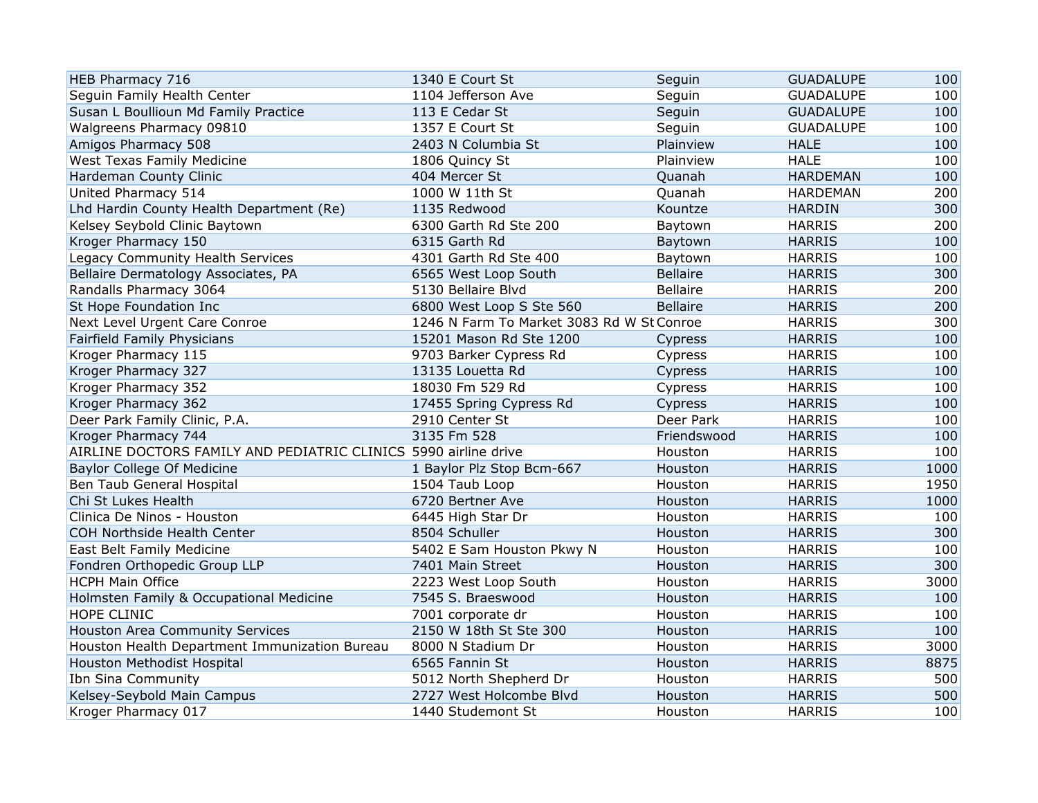| HEB Pharmacy 716                                                | 1340 E Court St                           | Seguin          | <b>GUADALUPE</b> | 100  |
|-----------------------------------------------------------------|-------------------------------------------|-----------------|------------------|------|
| Seguin Family Health Center                                     | 1104 Jefferson Ave                        | Seguin          | <b>GUADALUPE</b> | 100  |
| Susan L Boullioun Md Family Practice                            | 113 E Cedar St                            | Seguin          | <b>GUADALUPE</b> | 100  |
| Walgreens Pharmacy 09810                                        | 1357 E Court St                           | Seguin          | <b>GUADALUPE</b> | 100  |
| Amigos Pharmacy 508                                             | 2403 N Columbia St                        | Plainview       | <b>HALE</b>      | 100  |
| West Texas Family Medicine                                      | 1806 Quincy St                            | Plainview       | <b>HALE</b>      | 100  |
| Hardeman County Clinic                                          | 404 Mercer St                             | Quanah          | <b>HARDEMAN</b>  | 100  |
| United Pharmacy 514                                             | 1000 W 11th St                            | Quanah          | <b>HARDEMAN</b>  | 200  |
| Lhd Hardin County Health Department (Re)                        | 1135 Redwood                              | Kountze         | <b>HARDIN</b>    | 300  |
| Kelsey Seybold Clinic Baytown                                   | 6300 Garth Rd Ste 200                     | Baytown         | <b>HARRIS</b>    | 200  |
| Kroger Pharmacy 150                                             | 6315 Garth Rd                             | Baytown         | <b>HARRIS</b>    | 100  |
| Legacy Community Health Services                                | 4301 Garth Rd Ste 400                     | Baytown         | <b>HARRIS</b>    | 100  |
| Bellaire Dermatology Associates, PA                             | 6565 West Loop South                      | <b>Bellaire</b> | <b>HARRIS</b>    | 300  |
| Randalls Pharmacy 3064                                          | 5130 Bellaire Blvd                        | <b>Bellaire</b> | <b>HARRIS</b>    | 200  |
| St Hope Foundation Inc                                          | 6800 West Loop S Ste 560                  | <b>Bellaire</b> | <b>HARRIS</b>    | 200  |
| Next Level Urgent Care Conroe                                   | 1246 N Farm To Market 3083 Rd W St Conroe |                 | <b>HARRIS</b>    | 300  |
| Fairfield Family Physicians                                     | 15201 Mason Rd Ste 1200                   | Cypress         | <b>HARRIS</b>    | 100  |
| Kroger Pharmacy 115                                             | 9703 Barker Cypress Rd                    | Cypress         | <b>HARRIS</b>    | 100  |
| Kroger Pharmacy 327                                             | 13135 Louetta Rd                          | Cypress         | <b>HARRIS</b>    | 100  |
| Kroger Pharmacy 352                                             | 18030 Fm 529 Rd                           | Cypress         | <b>HARRIS</b>    | 100  |
| Kroger Pharmacy 362                                             | 17455 Spring Cypress Rd                   | Cypress         | <b>HARRIS</b>    | 100  |
| Deer Park Family Clinic, P.A.                                   | 2910 Center St                            | Deer Park       | <b>HARRIS</b>    | 100  |
| Kroger Pharmacy 744                                             | 3135 Fm 528                               | Friendswood     | <b>HARRIS</b>    | 100  |
| AIRLINE DOCTORS FAMILY AND PEDIATRIC CLINICS 5990 airline drive |                                           | Houston         | <b>HARRIS</b>    | 100  |
| Baylor College Of Medicine                                      | 1 Baylor Plz Stop Bcm-667                 | Houston         | <b>HARRIS</b>    | 1000 |
| Ben Taub General Hospital                                       | 1504 Taub Loop                            | Houston         | <b>HARRIS</b>    | 1950 |
| Chi St Lukes Health                                             | 6720 Bertner Ave                          | Houston         | <b>HARRIS</b>    | 1000 |
| Clinica De Ninos - Houston                                      | 6445 High Star Dr                         | Houston         | <b>HARRIS</b>    | 100  |
| COH Northside Health Center                                     | 8504 Schuller                             | Houston         | <b>HARRIS</b>    | 300  |
| East Belt Family Medicine                                       | 5402 E Sam Houston Pkwy N                 | Houston         | <b>HARRIS</b>    | 100  |
| Fondren Orthopedic Group LLP                                    | 7401 Main Street                          | Houston         | <b>HARRIS</b>    | 300  |
| <b>HCPH Main Office</b>                                         | 2223 West Loop South                      | Houston         | <b>HARRIS</b>    | 3000 |
| Holmsten Family & Occupational Medicine                         | 7545 S. Braeswood                         | Houston         | <b>HARRIS</b>    | 100  |
| HOPE CLINIC                                                     | 7001 corporate dr                         | Houston         | <b>HARRIS</b>    | 100  |
| Houston Area Community Services                                 | 2150 W 18th St Ste 300                    | Houston         | <b>HARRIS</b>    | 100  |
| Houston Health Department Immunization Bureau                   | 8000 N Stadium Dr                         | Houston         | <b>HARRIS</b>    | 3000 |
| Houston Methodist Hospital                                      | 6565 Fannin St                            | Houston         | <b>HARRIS</b>    | 8875 |
| Ibn Sina Community                                              | 5012 North Shepherd Dr                    | Houston         | <b>HARRIS</b>    | 500  |
| Kelsey-Seybold Main Campus                                      | 2727 West Holcombe Blvd                   | Houston         | <b>HARRIS</b>    | 500  |
| Kroger Pharmacy 017                                             | 1440 Studemont St                         | Houston         | <b>HARRIS</b>    | 100  |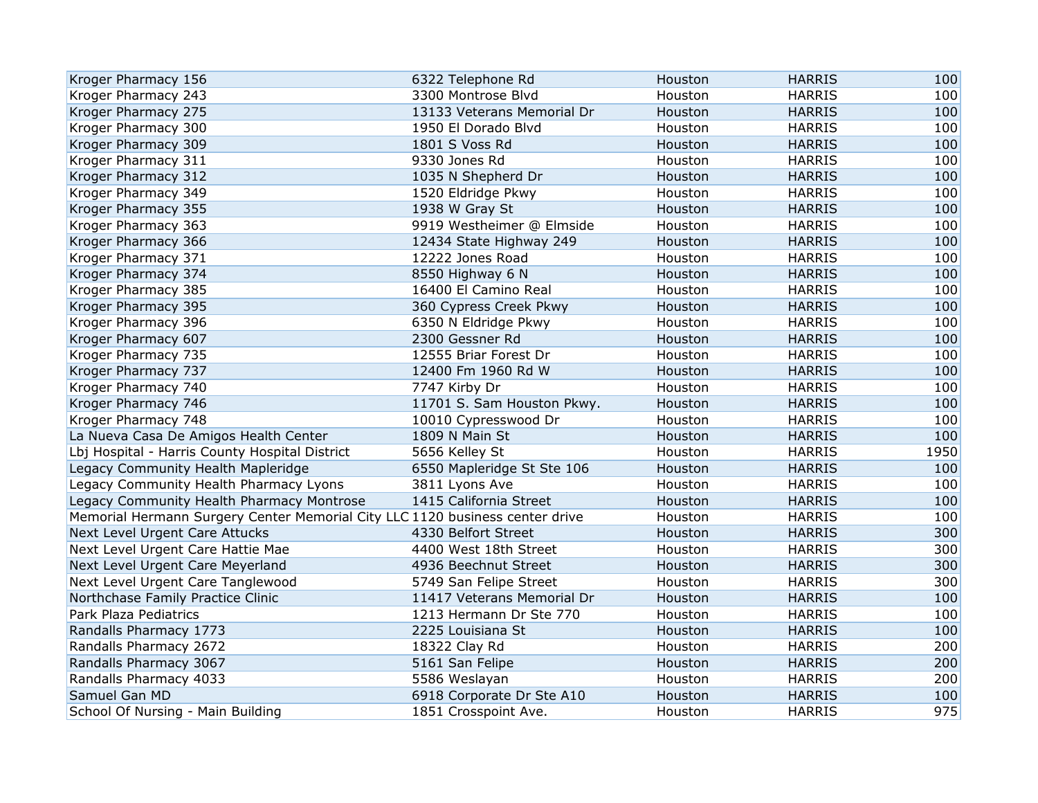| Kroger Pharmacy 156                                                          | 6322 Telephone Rd          | Houston | <b>HARRIS</b> | 100  |
|------------------------------------------------------------------------------|----------------------------|---------|---------------|------|
| Kroger Pharmacy 243                                                          | 3300 Montrose Blvd         | Houston | <b>HARRIS</b> | 100  |
| Kroger Pharmacy 275                                                          | 13133 Veterans Memorial Dr | Houston | <b>HARRIS</b> | 100  |
| Kroger Pharmacy 300                                                          | 1950 El Dorado Blvd        | Houston | <b>HARRIS</b> | 100  |
| Kroger Pharmacy 309                                                          | 1801 S Voss Rd             | Houston | <b>HARRIS</b> | 100  |
| Kroger Pharmacy 311                                                          | 9330 Jones Rd              | Houston | <b>HARRIS</b> | 100  |
| Kroger Pharmacy 312                                                          | 1035 N Shepherd Dr         | Houston | <b>HARRIS</b> | 100  |
| Kroger Pharmacy 349                                                          | 1520 Eldridge Pkwy         | Houston | <b>HARRIS</b> | 100  |
| Kroger Pharmacy 355                                                          | 1938 W Gray St             | Houston | <b>HARRIS</b> | 100  |
| Kroger Pharmacy 363                                                          | 9919 Westheimer @ Elmside  | Houston | <b>HARRIS</b> | 100  |
| Kroger Pharmacy 366                                                          | 12434 State Highway 249    | Houston | <b>HARRIS</b> | 100  |
| Kroger Pharmacy 371                                                          | 12222 Jones Road           | Houston | <b>HARRIS</b> | 100  |
| Kroger Pharmacy 374                                                          | 8550 Highway 6 N           | Houston | <b>HARRIS</b> | 100  |
| Kroger Pharmacy 385                                                          | 16400 El Camino Real       | Houston | <b>HARRIS</b> | 100  |
| Kroger Pharmacy 395                                                          | 360 Cypress Creek Pkwy     | Houston | <b>HARRIS</b> | 100  |
| Kroger Pharmacy 396                                                          | 6350 N Eldridge Pkwy       | Houston | <b>HARRIS</b> | 100  |
| Kroger Pharmacy 607                                                          | 2300 Gessner Rd            | Houston | <b>HARRIS</b> | 100  |
| Kroger Pharmacy 735                                                          | 12555 Briar Forest Dr      | Houston | <b>HARRIS</b> | 100  |
| Kroger Pharmacy 737                                                          | 12400 Fm 1960 Rd W         | Houston | <b>HARRIS</b> | 100  |
| Kroger Pharmacy 740                                                          | 7747 Kirby Dr              | Houston | <b>HARRIS</b> | 100  |
| Kroger Pharmacy 746                                                          | 11701 S. Sam Houston Pkwy. | Houston | <b>HARRIS</b> | 100  |
| Kroger Pharmacy 748                                                          | 10010 Cypresswood Dr       | Houston | <b>HARRIS</b> | 100  |
| La Nueva Casa De Amigos Health Center                                        | 1809 N Main St             | Houston | <b>HARRIS</b> | 100  |
| Lbj Hospital - Harris County Hospital District                               | 5656 Kelley St             | Houston | <b>HARRIS</b> | 1950 |
| Legacy Community Health Mapleridge                                           | 6550 Mapleridge St Ste 106 | Houston | <b>HARRIS</b> | 100  |
| Legacy Community Health Pharmacy Lyons                                       | 3811 Lyons Ave             | Houston | <b>HARRIS</b> | 100  |
| Legacy Community Health Pharmacy Montrose                                    | 1415 California Street     | Houston | <b>HARRIS</b> | 100  |
| Memorial Hermann Surgery Center Memorial City LLC 1120 business center drive |                            | Houston | <b>HARRIS</b> | 100  |
| Next Level Urgent Care Attucks                                               | 4330 Belfort Street        | Houston | <b>HARRIS</b> | 300  |
| Next Level Urgent Care Hattie Mae                                            | 4400 West 18th Street      | Houston | <b>HARRIS</b> | 300  |
| Next Level Urgent Care Meyerland                                             | 4936 Beechnut Street       | Houston | <b>HARRIS</b> | 300  |
| Next Level Urgent Care Tanglewood                                            | 5749 San Felipe Street     | Houston | <b>HARRIS</b> | 300  |
| Northchase Family Practice Clinic                                            | 11417 Veterans Memorial Dr | Houston | <b>HARRIS</b> | 100  |
| Park Plaza Pediatrics                                                        | 1213 Hermann Dr Ste 770    | Houston | <b>HARRIS</b> | 100  |
| Randalls Pharmacy 1773                                                       | 2225 Louisiana St          | Houston | <b>HARRIS</b> | 100  |
| Randalls Pharmacy 2672                                                       | 18322 Clay Rd              | Houston | <b>HARRIS</b> | 200  |
| Randalls Pharmacy 3067                                                       | 5161 San Felipe            | Houston | <b>HARRIS</b> | 200  |
| Randalls Pharmacy 4033                                                       | 5586 Weslayan              | Houston | <b>HARRIS</b> | 200  |
| Samuel Gan MD                                                                | 6918 Corporate Dr Ste A10  | Houston | <b>HARRIS</b> | 100  |
| School Of Nursing - Main Building                                            | 1851 Crosspoint Ave.       | Houston | <b>HARRIS</b> | 975  |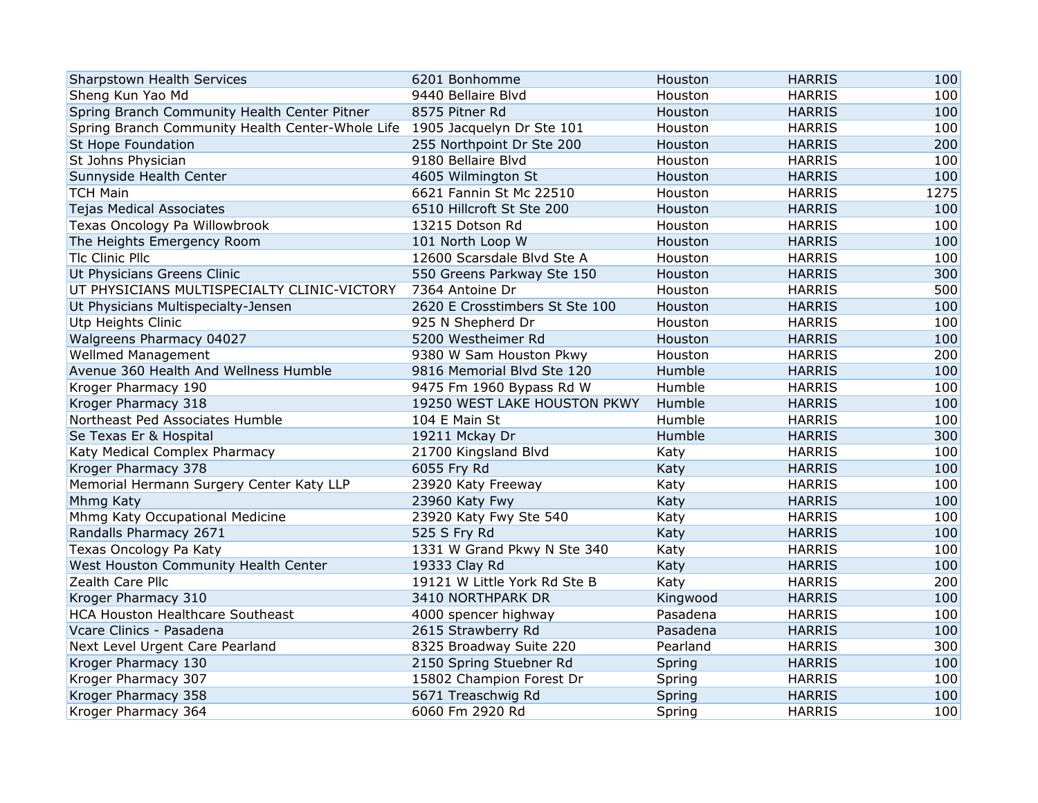| Sharpstown Health Services                       | 6201 Bonhomme                  | Houston  | <b>HARRIS</b> | 100  |
|--------------------------------------------------|--------------------------------|----------|---------------|------|
| Sheng Kun Yao Md                                 | 9440 Bellaire Blvd             | Houston  | <b>HARRIS</b> | 100  |
| Spring Branch Community Health Center Pitner     | 8575 Pitner Rd                 | Houston  | <b>HARRIS</b> | 100  |
| Spring Branch Community Health Center-Whole Life | 1905 Jacquelyn Dr Ste 101      | Houston  | <b>HARRIS</b> | 100  |
| St Hope Foundation                               | 255 Northpoint Dr Ste 200      | Houston  | <b>HARRIS</b> | 200  |
| St Johns Physician                               | 9180 Bellaire Blvd             | Houston  | <b>HARRIS</b> | 100  |
| Sunnyside Health Center                          | 4605 Wilmington St             | Houston  | <b>HARRIS</b> | 100  |
| <b>TCH Main</b>                                  | 6621 Fannin St Mc 22510        | Houston  | <b>HARRIS</b> | 1275 |
| <b>Tejas Medical Associates</b>                  | 6510 Hillcroft St Ste 200      | Houston  | <b>HARRIS</b> | 100  |
| Texas Oncology Pa Willowbrook                    | 13215 Dotson Rd                | Houston  | <b>HARRIS</b> | 100  |
| The Heights Emergency Room                       | 101 North Loop W               | Houston  | <b>HARRIS</b> | 100  |
| Tlc Clinic Pllc                                  | 12600 Scarsdale Blvd Ste A     | Houston  | <b>HARRIS</b> | 100  |
| Ut Physicians Greens Clinic                      | 550 Greens Parkway Ste 150     | Houston  | <b>HARRIS</b> | 300  |
| UT PHYSICIANS MULTISPECIALTY CLINIC-VICTORY      | 7364 Antoine Dr                | Houston  | <b>HARRIS</b> | 500  |
| Ut Physicians Multispecialty-Jensen              | 2620 E Crosstimbers St Ste 100 | Houston  | <b>HARRIS</b> | 100  |
| Utp Heights Clinic                               | 925 N Shepherd Dr              | Houston  | <b>HARRIS</b> | 100  |
| Walgreens Pharmacy 04027                         | 5200 Westheimer Rd             | Houston  | <b>HARRIS</b> | 100  |
| <b>Wellmed Management</b>                        | 9380 W Sam Houston Pkwy        | Houston  | <b>HARRIS</b> | 200  |
| Avenue 360 Health And Wellness Humble            | 9816 Memorial Blvd Ste 120     | Humble   | <b>HARRIS</b> | 100  |
| Kroger Pharmacy 190                              | 9475 Fm 1960 Bypass Rd W       | Humble   | <b>HARRIS</b> | 100  |
| Kroger Pharmacy 318                              | 19250 WEST LAKE HOUSTON PKWY   | Humble   | <b>HARRIS</b> | 100  |
| Northeast Ped Associates Humble                  | 104 E Main St                  | Humble   | <b>HARRIS</b> | 100  |
| Se Texas Er & Hospital                           | 19211 Mckay Dr                 | Humble   | <b>HARRIS</b> | 300  |
| Katy Medical Complex Pharmacy                    | 21700 Kingsland Blvd           | Katy     | <b>HARRIS</b> | 100  |
| Kroger Pharmacy 378                              | 6055 Fry Rd                    | Katy     | <b>HARRIS</b> | 100  |
| Memorial Hermann Surgery Center Katy LLP         | 23920 Katy Freeway             | Katy     | <b>HARRIS</b> | 100  |
| Mhmg Katy                                        | 23960 Katy Fwy                 | Katy     | <b>HARRIS</b> | 100  |
| Mhmg Katy Occupational Medicine                  | 23920 Katy Fwy Ste 540         | Katy     | <b>HARRIS</b> | 100  |
| Randalls Pharmacy 2671                           | 525 S Fry Rd                   | Katy     | <b>HARRIS</b> | 100  |
| Texas Oncology Pa Katy                           | 1331 W Grand Pkwy N Ste 340    | Katy     | <b>HARRIS</b> | 100  |
| West Houston Community Health Center             | 19333 Clay Rd                  | Katy     | <b>HARRIS</b> | 100  |
| Zealth Care Pllc                                 | 19121 W Little York Rd Ste B   | Katy     | <b>HARRIS</b> | 200  |
| Kroger Pharmacy 310                              | 3410 NORTHPARK DR              | Kingwood | <b>HARRIS</b> | 100  |
| HCA Houston Healthcare Southeast                 | 4000 spencer highway           | Pasadena | <b>HARRIS</b> | 100  |
| Vcare Clinics - Pasadena                         | 2615 Strawberry Rd             | Pasadena | <b>HARRIS</b> | 100  |
| Next Level Urgent Care Pearland                  | 8325 Broadway Suite 220        | Pearland | <b>HARRIS</b> | 300  |
| Kroger Pharmacy 130                              | 2150 Spring Stuebner Rd        | Spring   | <b>HARRIS</b> | 100  |
| Kroger Pharmacy 307                              | 15802 Champion Forest Dr       | Spring   | <b>HARRIS</b> | 100  |
| Kroger Pharmacy 358                              | 5671 Treaschwig Rd             | Spring   | <b>HARRIS</b> | 100  |
| Kroger Pharmacy 364                              | 6060 Fm 2920 Rd                | Spring   | <b>HARRIS</b> | 100  |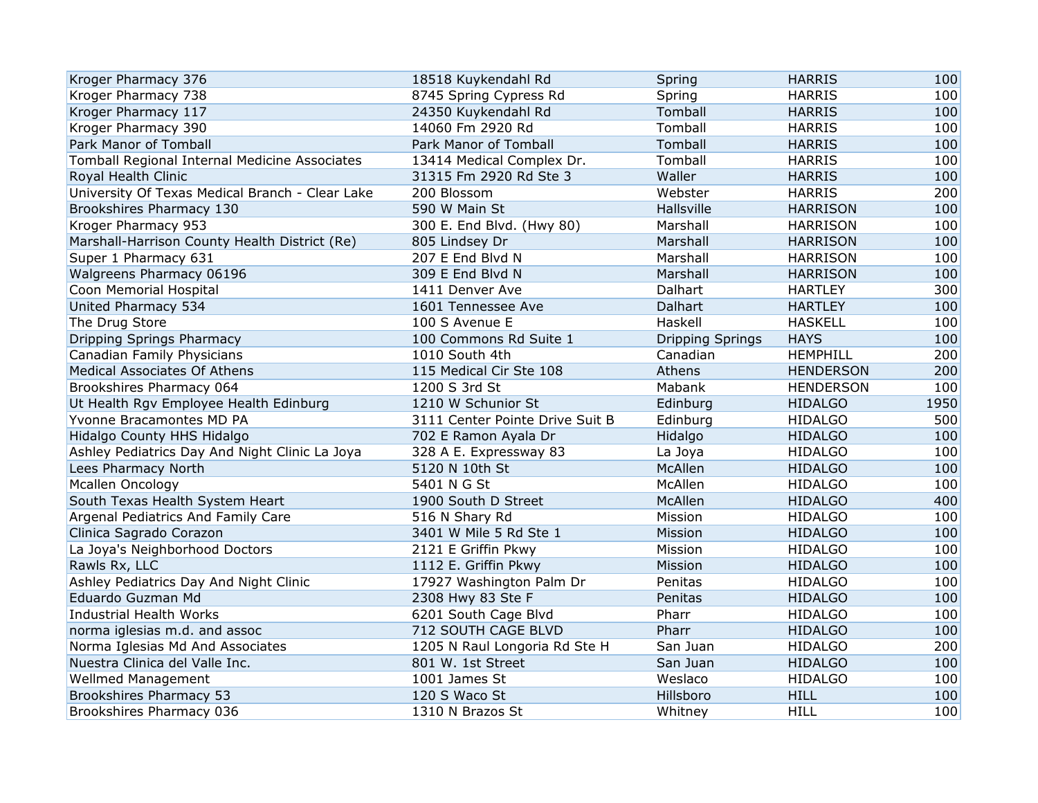| Kroger Pharmacy 376                             | 18518 Kuykendahl Rd             | Spring                  | <b>HARRIS</b>    | 100  |
|-------------------------------------------------|---------------------------------|-------------------------|------------------|------|
| Kroger Pharmacy 738                             | 8745 Spring Cypress Rd          | Spring                  | <b>HARRIS</b>    | 100  |
| Kroger Pharmacy 117                             | 24350 Kuykendahl Rd             | Tomball                 | <b>HARRIS</b>    | 100  |
| Kroger Pharmacy 390                             | 14060 Fm 2920 Rd                | Tomball                 | <b>HARRIS</b>    | 100  |
| Park Manor of Tomball                           | Park Manor of Tomball           | Tomball                 | <b>HARRIS</b>    | 100  |
| Tomball Regional Internal Medicine Associates   | 13414 Medical Complex Dr.       | Tomball                 | <b>HARRIS</b>    | 100  |
| Royal Health Clinic                             | 31315 Fm 2920 Rd Ste 3          | Waller                  | <b>HARRIS</b>    | 100  |
| University Of Texas Medical Branch - Clear Lake | 200 Blossom                     | Webster                 | <b>HARRIS</b>    | 200  |
| Brookshires Pharmacy 130                        | 590 W Main St                   | Hallsville              | <b>HARRISON</b>  | 100  |
| Kroger Pharmacy 953                             | 300 E. End Blvd. (Hwy 80)       | Marshall                | <b>HARRISON</b>  | 100  |
| Marshall-Harrison County Health District (Re)   | 805 Lindsey Dr                  | Marshall                | <b>HARRISON</b>  | 100  |
| Super 1 Pharmacy 631                            | 207 E End Blvd N                | Marshall                | <b>HARRISON</b>  | 100  |
| Walgreens Pharmacy 06196                        | 309 E End Blvd N                | Marshall                | <b>HARRISON</b>  | 100  |
| Coon Memorial Hospital                          | 1411 Denver Ave                 | Dalhart                 | <b>HARTLEY</b>   | 300  |
| United Pharmacy 534                             | 1601 Tennessee Ave              | Dalhart                 | <b>HARTLEY</b>   | 100  |
| The Drug Store                                  | 100 S Avenue E                  | Haskell                 | <b>HASKELL</b>   | 100  |
| <b>Dripping Springs Pharmacy</b>                | 100 Commons Rd Suite 1          | <b>Dripping Springs</b> | <b>HAYS</b>      | 100  |
| Canadian Family Physicians                      | 1010 South 4th                  | Canadian                | <b>HEMPHILL</b>  | 200  |
| <b>Medical Associates Of Athens</b>             | 115 Medical Cir Ste 108         | Athens                  | <b>HENDERSON</b> | 200  |
| Brookshires Pharmacy 064                        | 1200 S 3rd St                   | Mabank                  | <b>HENDERSON</b> | 100  |
| Ut Health Rgv Employee Health Edinburg          | 1210 W Schunior St              | Edinburg                | <b>HIDALGO</b>   | 1950 |
| Yvonne Bracamontes MD PA                        | 3111 Center Pointe Drive Suit B | Edinburg                | <b>HIDALGO</b>   | 500  |
| Hidalgo County HHS Hidalgo                      | 702 E Ramon Ayala Dr            | Hidalgo                 | <b>HIDALGO</b>   | 100  |
| Ashley Pediatrics Day And Night Clinic La Joya  | 328 A E. Expressway 83          | La Joya                 | <b>HIDALGO</b>   | 100  |
| Lees Pharmacy North                             | 5120 N 10th St                  | McAllen                 | <b>HIDALGO</b>   | 100  |
| Mcallen Oncology                                | 5401 N G St                     | McAllen                 | <b>HIDALGO</b>   | 100  |
| South Texas Health System Heart                 | 1900 South D Street             | McAllen                 | <b>HIDALGO</b>   | 400  |
| Argenal Pediatrics And Family Care              | 516 N Shary Rd                  | Mission                 | <b>HIDALGO</b>   | 100  |
| Clinica Sagrado Corazon                         | 3401 W Mile 5 Rd Ste 1          | Mission                 | <b>HIDALGO</b>   | 100  |
| La Joya's Neighborhood Doctors                  | 2121 E Griffin Pkwy             | Mission                 | <b>HIDALGO</b>   | 100  |
| Rawls Rx, LLC                                   | 1112 E. Griffin Pkwy            | Mission                 | <b>HIDALGO</b>   | 100  |
| Ashley Pediatrics Day And Night Clinic          | 17927 Washington Palm Dr        | Penitas                 | <b>HIDALGO</b>   | 100  |
| Eduardo Guzman Md                               | 2308 Hwy 83 Ste F               | Penitas                 | <b>HIDALGO</b>   | 100  |
| Industrial Health Works                         | 6201 South Cage Blvd            | Pharr                   | <b>HIDALGO</b>   | 100  |
| norma iglesias m.d. and assoc                   | 712 SOUTH CAGE BLVD             | Pharr                   | <b>HIDALGO</b>   | 100  |
| Norma Iglesias Md And Associates                | 1205 N Raul Longoria Rd Ste H   | San Juan                | <b>HIDALGO</b>   | 200  |
| Nuestra Clinica del Valle Inc.                  | 801 W. 1st Street               | San Juan                | <b>HIDALGO</b>   | 100  |
| <b>Wellmed Management</b>                       | 1001 James St                   | Weslaco                 | <b>HIDALGO</b>   | 100  |
| Brookshires Pharmacy 53                         | 120 S Waco St                   | Hillsboro               | <b>HILL</b>      | 100  |
| Brookshires Pharmacy 036                        | 1310 N Brazos St                | Whitney                 | <b>HILL</b>      | 100  |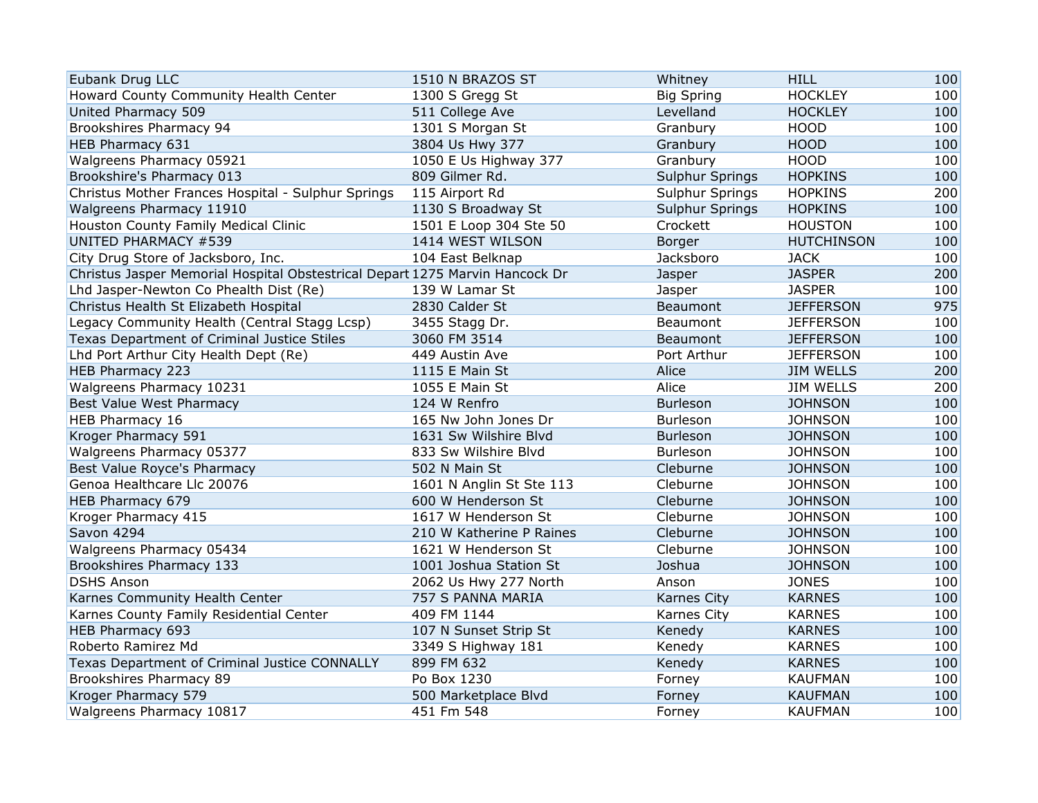| Eubank Drug LLC                                                              | 1510 N BRAZOS ST         | Whitney           | <b>HILL</b>       | 100 |
|------------------------------------------------------------------------------|--------------------------|-------------------|-------------------|-----|
| Howard County Community Health Center                                        | 1300 S Gregg St          | <b>Big Spring</b> | <b>HOCKLEY</b>    | 100 |
| United Pharmacy 509                                                          | 511 College Ave          | Levelland         | <b>HOCKLEY</b>    | 100 |
| Brookshires Pharmacy 94                                                      | 1301 S Morgan St         | Granbury          | <b>HOOD</b>       | 100 |
| HEB Pharmacy 631                                                             | 3804 Us Hwy 377          | Granbury          | <b>HOOD</b>       | 100 |
| Walgreens Pharmacy 05921                                                     | 1050 E Us Highway 377    | Granbury          | <b>HOOD</b>       | 100 |
| Brookshire's Pharmacy 013                                                    | 809 Gilmer Rd.           | Sulphur Springs   | <b>HOPKINS</b>    | 100 |
| Christus Mother Frances Hospital - Sulphur Springs                           | 115 Airport Rd           | Sulphur Springs   | <b>HOPKINS</b>    | 200 |
| Walgreens Pharmacy 11910                                                     | 1130 S Broadway St       | Sulphur Springs   | <b>HOPKINS</b>    | 100 |
| Houston County Family Medical Clinic                                         | 1501 E Loop 304 Ste 50   | Crockett          | <b>HOUSTON</b>    | 100 |
| <b>UNITED PHARMACY #539</b>                                                  | 1414 WEST WILSON         | Borger            | <b>HUTCHINSON</b> | 100 |
| City Drug Store of Jacksboro, Inc.                                           | 104 East Belknap         | Jacksboro         | <b>JACK</b>       | 100 |
| Christus Jasper Memorial Hospital Obstestrical Depart 1275 Marvin Hancock Dr |                          | Jasper            | <b>JASPER</b>     | 200 |
| Lhd Jasper-Newton Co Phealth Dist (Re)                                       | 139 W Lamar St           | Jasper            | <b>JASPER</b>     | 100 |
| Christus Health St Elizabeth Hospital                                        | 2830 Calder St           | Beaumont          | <b>JEFFERSON</b>  | 975 |
| Legacy Community Health (Central Stagg Lcsp)                                 | 3455 Stagg Dr.           | Beaumont          | <b>JEFFERSON</b>  | 100 |
| Texas Department of Criminal Justice Stiles                                  | 3060 FM 3514             | Beaumont          | <b>JEFFERSON</b>  | 100 |
| Lhd Port Arthur City Health Dept (Re)                                        | 449 Austin Ave           | Port Arthur       | <b>JEFFERSON</b>  | 100 |
| HEB Pharmacy 223                                                             | 1115 E Main St           | Alice             | <b>JIM WELLS</b>  | 200 |
| Walgreens Pharmacy 10231                                                     | 1055 E Main St           | Alice             | <b>JIM WELLS</b>  | 200 |
| Best Value West Pharmacy                                                     | 124 W Renfro             | <b>Burleson</b>   | <b>JOHNSON</b>    | 100 |
| HEB Pharmacy 16                                                              | 165 Nw John Jones Dr     | <b>Burleson</b>   | <b>JOHNSON</b>    | 100 |
| Kroger Pharmacy 591                                                          | 1631 Sw Wilshire Blvd    | Burleson          | <b>JOHNSON</b>    | 100 |
| Walgreens Pharmacy 05377                                                     | 833 Sw Wilshire Blvd     | Burleson          | <b>JOHNSON</b>    | 100 |
| Best Value Royce's Pharmacy                                                  | 502 N Main St            | Cleburne          | <b>JOHNSON</b>    | 100 |
| Genoa Healthcare Llc 20076                                                   | 1601 N Anglin St Ste 113 | Cleburne          | <b>JOHNSON</b>    | 100 |
| HEB Pharmacy 679                                                             | 600 W Henderson St       | Cleburne          | <b>JOHNSON</b>    | 100 |
| Kroger Pharmacy 415                                                          | 1617 W Henderson St      | Cleburne          | <b>JOHNSON</b>    | 100 |
| Savon 4294                                                                   | 210 W Katherine P Raines | Cleburne          | <b>JOHNSON</b>    | 100 |
| Walgreens Pharmacy 05434                                                     | 1621 W Henderson St      | Cleburne          | <b>JOHNSON</b>    | 100 |
| Brookshires Pharmacy 133                                                     | 1001 Joshua Station St   | Joshua            | <b>JOHNSON</b>    | 100 |
| <b>DSHS Anson</b>                                                            | 2062 Us Hwy 277 North    | Anson             | <b>JONES</b>      | 100 |
| Karnes Community Health Center                                               | 757 S PANNA MARIA        | Karnes City       | <b>KARNES</b>     | 100 |
| Karnes County Family Residential Center                                      | 409 FM 1144              | Karnes City       | <b>KARNES</b>     | 100 |
| HEB Pharmacy 693                                                             | 107 N Sunset Strip St    | Kenedy            | <b>KARNES</b>     | 100 |
| Roberto Ramirez Md                                                           | 3349 S Highway 181       | Kenedy            | <b>KARNES</b>     | 100 |
| Texas Department of Criminal Justice CONNALLY                                | 899 FM 632               | Kenedy            | <b>KARNES</b>     | 100 |
| Brookshires Pharmacy 89                                                      | Po Box 1230              | Forney            | <b>KAUFMAN</b>    | 100 |
| Kroger Pharmacy 579                                                          | 500 Marketplace Blvd     | Forney            | <b>KAUFMAN</b>    | 100 |
| Walgreens Pharmacy 10817                                                     | 451 Fm 548               | Forney            | <b>KAUFMAN</b>    | 100 |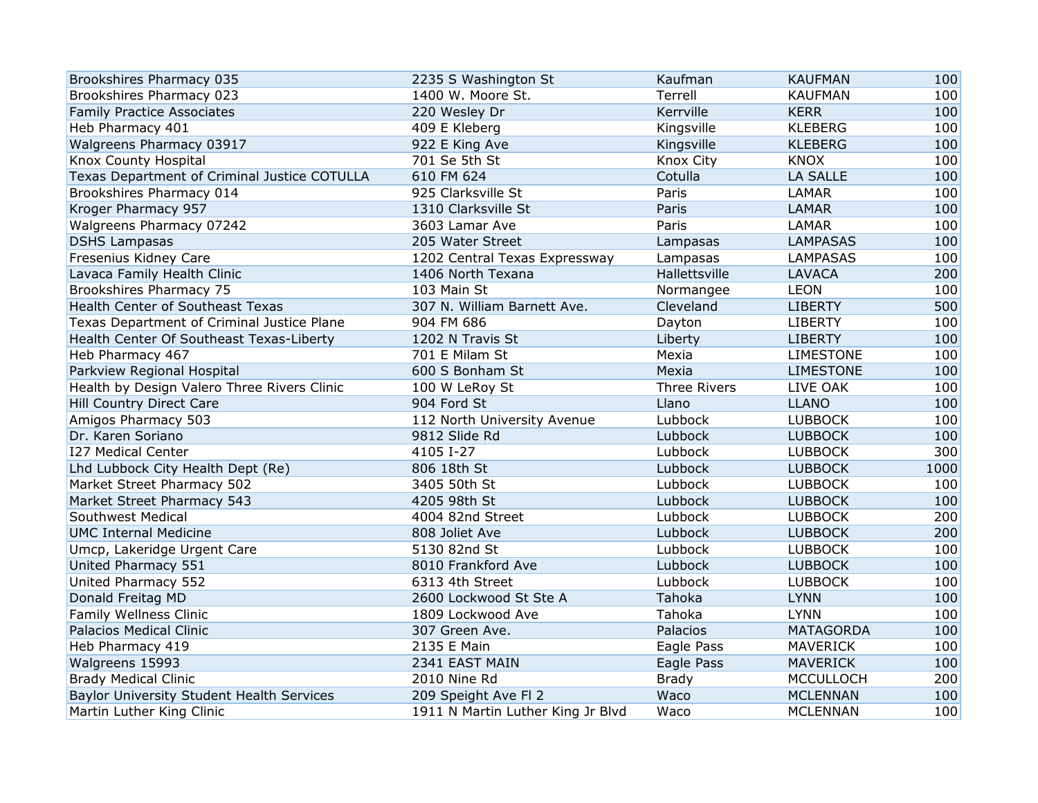| Brookshires Pharmacy 035                     | 2235 S Washington St              | Kaufman             | <b>KAUFMAN</b>   | 100  |
|----------------------------------------------|-----------------------------------|---------------------|------------------|------|
| Brookshires Pharmacy 023                     | 1400 W. Moore St.                 | Terrell             | <b>KAUFMAN</b>   | 100  |
| <b>Family Practice Associates</b>            | 220 Wesley Dr                     | Kerrville           | <b>KERR</b>      | 100  |
| Heb Pharmacy 401                             | 409 E Kleberg                     | Kingsville          | <b>KLEBERG</b>   | 100  |
| Walgreens Pharmacy 03917                     | 922 E King Ave                    | Kingsville          | <b>KLEBERG</b>   | 100  |
| Knox County Hospital                         | 701 Se 5th St                     | Knox City           | <b>KNOX</b>      | 100  |
| Texas Department of Criminal Justice COTULLA | 610 FM 624                        | Cotulla             | <b>LA SALLE</b>  | 100  |
| Brookshires Pharmacy 014                     | 925 Clarksville St                | Paris               | <b>LAMAR</b>     | 100  |
| Kroger Pharmacy 957                          | 1310 Clarksville St               | Paris               | <b>LAMAR</b>     | 100  |
| Walgreens Pharmacy 07242                     | 3603 Lamar Ave                    | Paris               | <b>LAMAR</b>     | 100  |
| <b>DSHS Lampasas</b>                         | 205 Water Street                  | Lampasas            | <b>LAMPASAS</b>  | 100  |
| Fresenius Kidney Care                        | 1202 Central Texas Expressway     | Lampasas            | <b>LAMPASAS</b>  | 100  |
| Lavaca Family Health Clinic                  | 1406 North Texana                 | Hallettsville       | <b>LAVACA</b>    | 200  |
| Brookshires Pharmacy 75                      | 103 Main St                       | Normangee           | <b>LEON</b>      | 100  |
| Health Center of Southeast Texas             | 307 N. William Barnett Ave.       | Cleveland           | <b>LIBERTY</b>   | 500  |
| Texas Department of Criminal Justice Plane   | 904 FM 686                        | Dayton              | <b>LIBERTY</b>   | 100  |
| Health Center Of Southeast Texas-Liberty     | 1202 N Travis St                  | Liberty             | <b>LIBERTY</b>   | 100  |
| Heb Pharmacy 467                             | 701 E Milam St                    | Mexia               | <b>LIMESTONE</b> | 100  |
| Parkview Regional Hospital                   | 600 S Bonham St                   | Mexia               | <b>LIMESTONE</b> | 100  |
| Health by Design Valero Three Rivers Clinic  | 100 W LeRoy St                    | <b>Three Rivers</b> | LIVE OAK         | 100  |
| Hill Country Direct Care                     | 904 Ford St                       | Llano               | <b>LLANO</b>     | 100  |
| Amigos Pharmacy 503                          | 112 North University Avenue       | Lubbock             | <b>LUBBOCK</b>   | 100  |
| Dr. Karen Soriano                            | 9812 Slide Rd                     | Lubbock             | <b>LUBBOCK</b>   | 100  |
| <b>I27 Medical Center</b>                    | 4105 I-27                         | Lubbock             | <b>LUBBOCK</b>   | 300  |
| Lhd Lubbock City Health Dept (Re)            | 806 18th St                       | Lubbock             | <b>LUBBOCK</b>   | 1000 |
| Market Street Pharmacy 502                   | 3405 50th St                      | Lubbock             | <b>LUBBOCK</b>   | 100  |
| Market Street Pharmacy 543                   | 4205 98th St                      | Lubbock             | <b>LUBBOCK</b>   | 100  |
| Southwest Medical                            | 4004 82nd Street                  | Lubbock             | <b>LUBBOCK</b>   | 200  |
| <b>UMC Internal Medicine</b>                 | 808 Joliet Ave                    | Lubbock             | <b>LUBBOCK</b>   | 200  |
| Umcp, Lakeridge Urgent Care                  | 5130 82nd St                      | Lubbock             | <b>LUBBOCK</b>   | 100  |
| United Pharmacy 551                          | 8010 Frankford Ave                | Lubbock             | <b>LUBBOCK</b>   | 100  |
| United Pharmacy 552                          | 6313 4th Street                   | Lubbock             | <b>LUBBOCK</b>   | 100  |
| Donald Freitag MD                            | 2600 Lockwood St Ste A            | Tahoka              | <b>LYNN</b>      | 100  |
| Family Wellness Clinic                       | 1809 Lockwood Ave                 | Tahoka              | <b>LYNN</b>      | 100  |
| Palacios Medical Clinic                      | 307 Green Ave.                    | Palacios            | <b>MATAGORDA</b> | 100  |
| Heb Pharmacy 419                             | 2135 E Main                       | Eagle Pass          | <b>MAVERICK</b>  | 100  |
| Walgreens 15993                              | 2341 EAST MAIN                    | Eagle Pass          | <b>MAVERICK</b>  | 100  |
| <b>Brady Medical Clinic</b>                  | 2010 Nine Rd                      | <b>Brady</b>        | <b>MCCULLOCH</b> | 200  |
| Baylor University Student Health Services    | 209 Speight Ave FI 2              | Waco                | <b>MCLENNAN</b>  | 100  |
| Martin Luther King Clinic                    | 1911 N Martin Luther King Jr Blvd | Waco                | <b>MCLENNAN</b>  | 100  |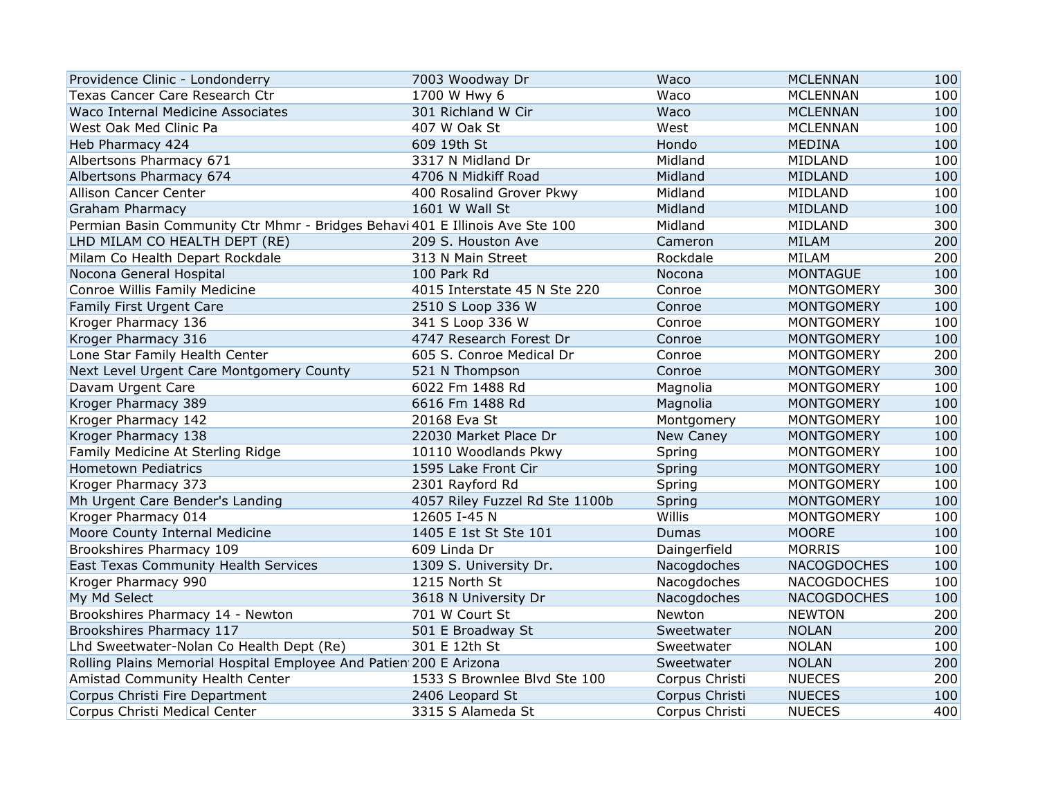| Providence Clinic - Londonderry                                              | 7003 Woodway Dr                | Waco             | <b>MCLENNAN</b>    | 100 |
|------------------------------------------------------------------------------|--------------------------------|------------------|--------------------|-----|
| Texas Cancer Care Research Ctr                                               | 1700 W Hwy 6                   | Waco             | <b>MCLENNAN</b>    | 100 |
| Waco Internal Medicine Associates                                            | 301 Richland W Cir             | Waco             | <b>MCLENNAN</b>    | 100 |
| West Oak Med Clinic Pa                                                       | 407 W Oak St                   | West             | <b>MCLENNAN</b>    | 100 |
| Heb Pharmacy 424                                                             | 609 19th St                    | Hondo            | <b>MEDINA</b>      | 100 |
| Albertsons Pharmacy 671                                                      | 3317 N Midland Dr              | Midland          | MIDLAND            | 100 |
| Albertsons Pharmacy 674                                                      | 4706 N Midkiff Road            | Midland          | <b>MIDLAND</b>     | 100 |
| <b>Allison Cancer Center</b>                                                 | 400 Rosalind Grover Pkwy       | Midland          | MIDLAND            | 100 |
| <b>Graham Pharmacy</b>                                                       | 1601 W Wall St                 | Midland          | <b>MIDLAND</b>     | 100 |
| Permian Basin Community Ctr Mhmr - Bridges Behavi 401 E Illinois Ave Ste 100 |                                | Midland          | MIDLAND            | 300 |
| LHD MILAM CO HEALTH DEPT (RE)                                                | 209 S. Houston Ave             | Cameron          | <b>MILAM</b>       | 200 |
| Milam Co Health Depart Rockdale                                              | 313 N Main Street              | Rockdale         | <b>MILAM</b>       | 200 |
| Nocona General Hospital                                                      | 100 Park Rd                    | Nocona           | <b>MONTAGUE</b>    | 100 |
| Conroe Willis Family Medicine                                                | 4015 Interstate 45 N Ste 220   | Conroe           | <b>MONTGOMERY</b>  | 300 |
| Family First Urgent Care                                                     | 2510 S Loop 336 W              | Conroe           | <b>MONTGOMERY</b>  | 100 |
| Kroger Pharmacy 136                                                          | 341 S Loop 336 W               | Conroe           | <b>MONTGOMERY</b>  | 100 |
| Kroger Pharmacy 316                                                          | 4747 Research Forest Dr        | Conroe           | <b>MONTGOMERY</b>  | 100 |
| Lone Star Family Health Center                                               | 605 S. Conroe Medical Dr       | Conroe           | <b>MONTGOMERY</b>  | 200 |
| Next Level Urgent Care Montgomery County                                     | 521 N Thompson                 | Conroe           | <b>MONTGOMERY</b>  | 300 |
| Davam Urgent Care                                                            | 6022 Fm 1488 Rd                | Magnolia         | <b>MONTGOMERY</b>  | 100 |
| Kroger Pharmacy 389                                                          | 6616 Fm 1488 Rd                | Magnolia         | <b>MONTGOMERY</b>  | 100 |
| Kroger Pharmacy 142                                                          | 20168 Eva St                   | Montgomery       | <b>MONTGOMERY</b>  | 100 |
| Kroger Pharmacy 138                                                          | 22030 Market Place Dr          | <b>New Caney</b> | <b>MONTGOMERY</b>  | 100 |
| Family Medicine At Sterling Ridge                                            | 10110 Woodlands Pkwy           | Spring           | <b>MONTGOMERY</b>  | 100 |
| <b>Hometown Pediatrics</b>                                                   | 1595 Lake Front Cir            | Spring           | <b>MONTGOMERY</b>  | 100 |
| Kroger Pharmacy 373                                                          | 2301 Rayford Rd                | Spring           | <b>MONTGOMERY</b>  | 100 |
| Mh Urgent Care Bender's Landing                                              | 4057 Riley Fuzzel Rd Ste 1100b | Spring           | <b>MONTGOMERY</b>  | 100 |
| Kroger Pharmacy 014                                                          | 12605 I-45 N                   | <b>Willis</b>    | <b>MONTGOMERY</b>  | 100 |
| Moore County Internal Medicine                                               | 1405 E 1st St Ste 101          | Dumas            | <b>MOORE</b>       | 100 |
| Brookshires Pharmacy 109                                                     | 609 Linda Dr                   | Daingerfield     | <b>MORRIS</b>      | 100 |
| East Texas Community Health Services                                         | 1309 S. University Dr.         | Nacogdoches      | <b>NACOGDOCHES</b> | 100 |
| Kroger Pharmacy 990                                                          | 1215 North St                  | Nacogdoches      | <b>NACOGDOCHES</b> | 100 |
| My Md Select                                                                 | 3618 N University Dr           | Nacogdoches      | <b>NACOGDOCHES</b> | 100 |
| Brookshires Pharmacy 14 - Newton                                             | 701 W Court St                 | Newton           | <b>NEWTON</b>      | 200 |
| Brookshires Pharmacy 117                                                     | 501 E Broadway St              | Sweetwater       | <b>NOLAN</b>       | 200 |
| Lhd Sweetwater-Nolan Co Health Dept (Re)                                     | 301 E 12th St                  | Sweetwater       | <b>NOLAN</b>       | 100 |
| Rolling Plains Memorial Hospital Employee And Patien 200 E Arizona           |                                | Sweetwater       | <b>NOLAN</b>       | 200 |
| Amistad Community Health Center                                              | 1533 S Brownlee Blvd Ste 100   | Corpus Christi   | <b>NUECES</b>      | 200 |
| Corpus Christi Fire Department                                               | 2406 Leopard St                | Corpus Christi   | <b>NUECES</b>      | 100 |
| Corpus Christi Medical Center                                                | 3315 S Alameda St              | Corpus Christi   | <b>NUECES</b>      | 400 |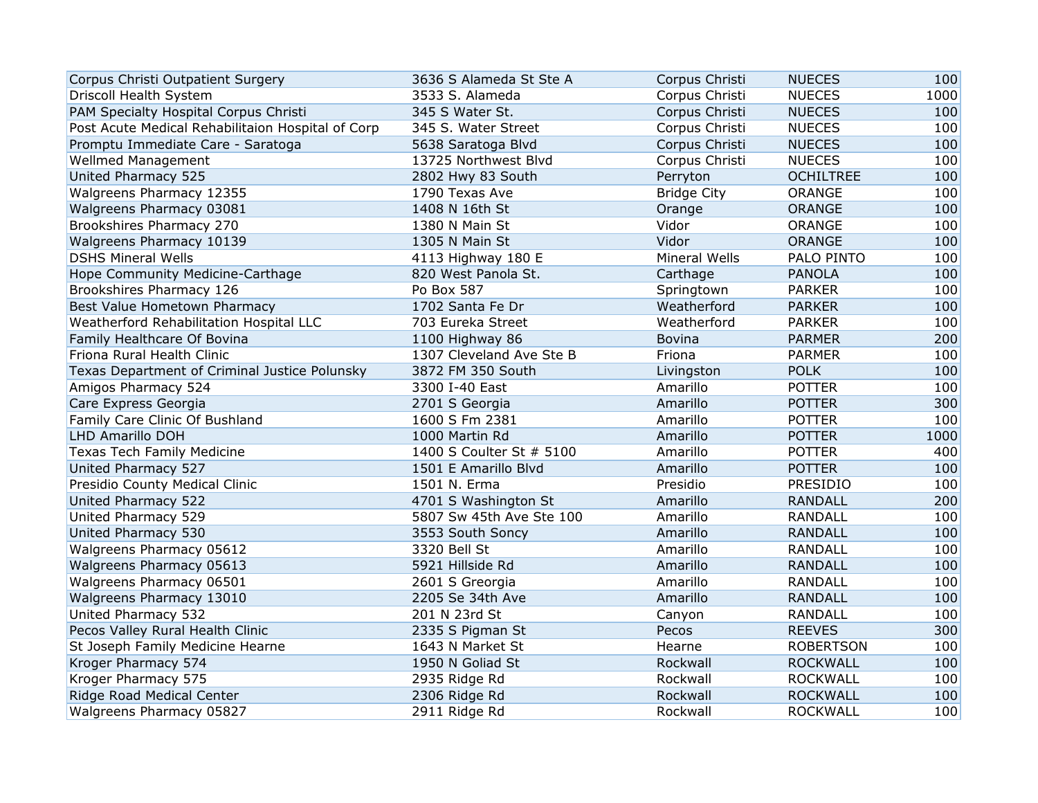| Corpus Christi Outpatient Surgery                 | 3636 S Alameda St Ste A  | Corpus Christi       | <b>NUECES</b>    | 100  |
|---------------------------------------------------|--------------------------|----------------------|------------------|------|
| Driscoll Health System                            | 3533 S. Alameda          | Corpus Christi       | <b>NUECES</b>    | 1000 |
| PAM Specialty Hospital Corpus Christi             | 345 S Water St.          | Corpus Christi       | <b>NUECES</b>    | 100  |
| Post Acute Medical Rehabilitaion Hospital of Corp | 345 S. Water Street      | Corpus Christi       | <b>NUECES</b>    | 100  |
| Promptu Immediate Care - Saratoga                 | 5638 Saratoga Blvd       | Corpus Christi       | <b>NUECES</b>    | 100  |
| <b>Wellmed Management</b>                         | 13725 Northwest Blvd     | Corpus Christi       | <b>NUECES</b>    | 100  |
| United Pharmacy 525                               | 2802 Hwy 83 South        | Perryton             | <b>OCHILTREE</b> | 100  |
| Walgreens Pharmacy 12355                          | 1790 Texas Ave           | <b>Bridge City</b>   | ORANGE           | 100  |
| Walgreens Pharmacy 03081                          | 1408 N 16th St           | Orange               | <b>ORANGE</b>    | 100  |
| Brookshires Pharmacy 270                          | 1380 N Main St           | Vidor                | ORANGE           | 100  |
| Walgreens Pharmacy 10139                          | 1305 N Main St           | Vidor                | <b>ORANGE</b>    | 100  |
| <b>DSHS Mineral Wells</b>                         | 4113 Highway 180 E       | <b>Mineral Wells</b> | PALO PINTO       | 100  |
| Hope Community Medicine-Carthage                  | 820 West Panola St.      | Carthage             | <b>PANOLA</b>    | 100  |
| Brookshires Pharmacy 126                          | Po Box 587               | Springtown           | <b>PARKER</b>    | 100  |
| Best Value Hometown Pharmacy                      | 1702 Santa Fe Dr         | Weatherford          | <b>PARKER</b>    | 100  |
| Weatherford Rehabilitation Hospital LLC           | 703 Eureka Street        | Weatherford          | <b>PARKER</b>    | 100  |
| Family Healthcare Of Bovina                       | 1100 Highway 86          | <b>Bovina</b>        | <b>PARMER</b>    | 200  |
| Friona Rural Health Clinic                        | 1307 Cleveland Ave Ste B | Friona               | <b>PARMER</b>    | 100  |
| Texas Department of Criminal Justice Polunsky     | 3872 FM 350 South        | Livingston           | <b>POLK</b>      | 100  |
| Amigos Pharmacy 524                               | 3300 I-40 East           | Amarillo             | <b>POTTER</b>    | 100  |
| Care Express Georgia                              | 2701 S Georgia           | Amarillo             | <b>POTTER</b>    | 300  |
| Family Care Clinic Of Bushland                    | 1600 S Fm 2381           | Amarillo             | <b>POTTER</b>    | 100  |
| LHD Amarillo DOH                                  | 1000 Martin Rd           | Amarillo             | <b>POTTER</b>    | 1000 |
| <b>Texas Tech Family Medicine</b>                 | 1400 S Coulter St # 5100 | Amarillo             | <b>POTTER</b>    | 400  |
| United Pharmacy 527                               | 1501 E Amarillo Blvd     | Amarillo             | <b>POTTER</b>    | 100  |
| Presidio County Medical Clinic                    | 1501 N. Erma             | Presidio             | PRESIDIO         | 100  |
| United Pharmacy 522                               | 4701 S Washington St     | Amarillo             | <b>RANDALL</b>   | 200  |
| United Pharmacy 529                               | 5807 Sw 45th Ave Ste 100 | Amarillo             | <b>RANDALL</b>   | 100  |
| United Pharmacy 530                               | 3553 South Soncy         | Amarillo             | <b>RANDALL</b>   | 100  |
| Walgreens Pharmacy 05612                          | 3320 Bell St             | Amarillo             | <b>RANDALL</b>   | 100  |
| Walgreens Pharmacy 05613                          | 5921 Hillside Rd         | Amarillo             | <b>RANDALL</b>   | 100  |
| Walgreens Pharmacy 06501                          | 2601 S Greorgia          | Amarillo             | <b>RANDALL</b>   | 100  |
| Walgreens Pharmacy 13010                          | 2205 Se 34th Ave         | Amarillo             | <b>RANDALL</b>   | 100  |
| United Pharmacy 532                               | 201 N 23rd St            | Canyon               | <b>RANDALL</b>   | 100  |
| Pecos Valley Rural Health Clinic                  | 2335 S Pigman St         | Pecos                | <b>REEVES</b>    | 300  |
| St Joseph Family Medicine Hearne                  | 1643 N Market St         | Hearne               | <b>ROBERTSON</b> | 100  |
| Kroger Pharmacy 574                               | 1950 N Goliad St         | Rockwall             | <b>ROCKWALL</b>  | 100  |
| Kroger Pharmacy 575                               | 2935 Ridge Rd            | Rockwall             | <b>ROCKWALL</b>  | 100  |
| Ridge Road Medical Center                         | 2306 Ridge Rd            | Rockwall             | <b>ROCKWALL</b>  | 100  |
| Walgreens Pharmacy 05827                          | 2911 Ridge Rd            | Rockwall             | <b>ROCKWALL</b>  | 100  |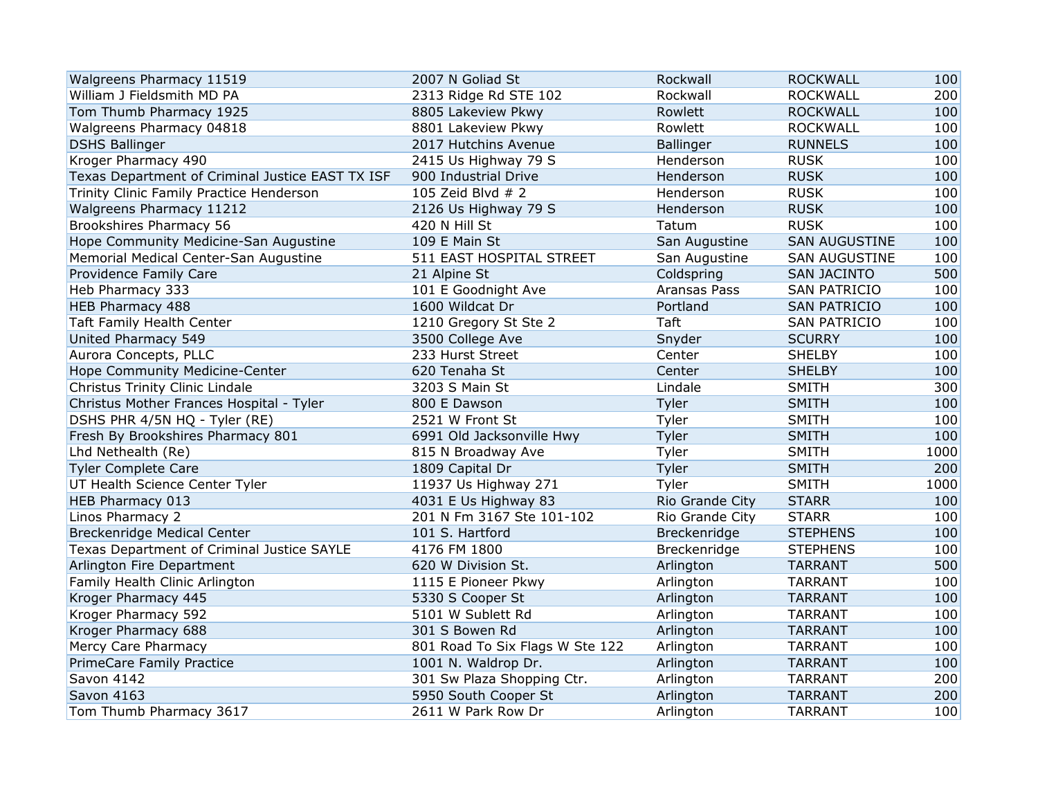| Walgreens Pharmacy 11519                         | 2007 N Goliad St                | Rockwall         | <b>ROCKWALL</b>      | 100  |
|--------------------------------------------------|---------------------------------|------------------|----------------------|------|
| William J Fieldsmith MD PA                       | 2313 Ridge Rd STE 102           | Rockwall         | <b>ROCKWALL</b>      | 200  |
| Tom Thumb Pharmacy 1925                          | 8805 Lakeview Pkwy              | Rowlett          | <b>ROCKWALL</b>      | 100  |
| Walgreens Pharmacy 04818                         | 8801 Lakeview Pkwy              | Rowlett          | <b>ROCKWALL</b>      | 100  |
| <b>DSHS Ballinger</b>                            | 2017 Hutchins Avenue            | <b>Ballinger</b> | <b>RUNNELS</b>       | 100  |
| Kroger Pharmacy 490                              | 2415 Us Highway 79 S            | Henderson        | <b>RUSK</b>          | 100  |
| Texas Department of Criminal Justice EAST TX ISF | 900 Industrial Drive            | Henderson        | <b>RUSK</b>          | 100  |
| Trinity Clinic Family Practice Henderson         | 105 Zeid Blvd # 2               | Henderson        | <b>RUSK</b>          | 100  |
| Walgreens Pharmacy 11212                         | 2126 Us Highway 79 S            | Henderson        | <b>RUSK</b>          | 100  |
| Brookshires Pharmacy 56                          | 420 N Hill St                   | Tatum            | <b>RUSK</b>          | 100  |
| Hope Community Medicine-San Augustine            | 109 E Main St                   | San Augustine    | <b>SAN AUGUSTINE</b> | 100  |
| Memorial Medical Center-San Augustine            | 511 EAST HOSPITAL STREET        | San Augustine    | <b>SAN AUGUSTINE</b> | 100  |
| Providence Family Care                           | 21 Alpine St                    | Coldspring       | <b>SAN JACINTO</b>   | 500  |
| Heb Pharmacy 333                                 | 101 E Goodnight Ave             | Aransas Pass     | <b>SAN PATRICIO</b>  | 100  |
| HEB Pharmacy 488                                 | 1600 Wildcat Dr                 | Portland         | <b>SAN PATRICIO</b>  | 100  |
| Taft Family Health Center                        | 1210 Gregory St Ste 2           | Taft             | <b>SAN PATRICIO</b>  | 100  |
| United Pharmacy 549                              | 3500 College Ave                | Snyder           | <b>SCURRY</b>        | 100  |
| Aurora Concepts, PLLC                            | 233 Hurst Street                | Center           | <b>SHELBY</b>        | 100  |
| Hope Community Medicine-Center                   | 620 Tenaha St                   | Center           | <b>SHELBY</b>        | 100  |
| Christus Trinity Clinic Lindale                  | 3203 S Main St                  | Lindale          | <b>SMITH</b>         | 300  |
| Christus Mother Frances Hospital - Tyler         | 800 E Dawson                    | Tyler            | <b>SMITH</b>         | 100  |
| DSHS PHR 4/5N HQ - Tyler (RE)                    | 2521 W Front St                 | Tyler            | <b>SMITH</b>         | 100  |
| Fresh By Brookshires Pharmacy 801                | 6991 Old Jacksonville Hwy       | Tyler            | <b>SMITH</b>         | 100  |
| Lhd Nethealth (Re)                               | 815 N Broadway Ave              | Tyler            | <b>SMITH</b>         | 1000 |
| <b>Tyler Complete Care</b>                       | 1809 Capital Dr                 | Tyler            | <b>SMITH</b>         | 200  |
| UT Health Science Center Tyler                   | 11937 Us Highway 271            | Tyler            | <b>SMITH</b>         | 1000 |
| <b>HEB Pharmacy 013</b>                          | 4031 E Us Highway 83            | Rio Grande City  | <b>STARR</b>         | 100  |
| Linos Pharmacy 2                                 | 201 N Fm 3167 Ste 101-102       | Rio Grande City  | <b>STARR</b>         | 100  |
| Breckenridge Medical Center                      | 101 S. Hartford                 | Breckenridge     | <b>STEPHENS</b>      | 100  |
| Texas Department of Criminal Justice SAYLE       | 4176 FM 1800                    | Breckenridge     | <b>STEPHENS</b>      | 100  |
| Arlington Fire Department                        | 620 W Division St.              | Arlington        | <b>TARRANT</b>       | 500  |
| Family Health Clinic Arlington                   | 1115 E Pioneer Pkwy             | Arlington        | <b>TARRANT</b>       | 100  |
| Kroger Pharmacy 445                              | 5330 S Cooper St                | Arlington        | <b>TARRANT</b>       | 100  |
| Kroger Pharmacy 592                              | 5101 W Sublett Rd               | Arlington        | <b>TARRANT</b>       | 100  |
| Kroger Pharmacy 688                              | 301 S Bowen Rd                  | Arlington        | <b>TARRANT</b>       | 100  |
| Mercy Care Pharmacy                              | 801 Road To Six Flags W Ste 122 | Arlington        | <b>TARRANT</b>       | 100  |
| PrimeCare Family Practice                        | 1001 N. Waldrop Dr.             | Arlington        | <b>TARRANT</b>       | 100  |
| Savon 4142                                       | 301 Sw Plaza Shopping Ctr.      | Arlington        | <b>TARRANT</b>       | 200  |
| <b>Savon 4163</b>                                | 5950 South Cooper St            | Arlington        | <b>TARRANT</b>       | 200  |
| Tom Thumb Pharmacy 3617                          | 2611 W Park Row Dr              | Arlington        | <b>TARRANT</b>       | 100  |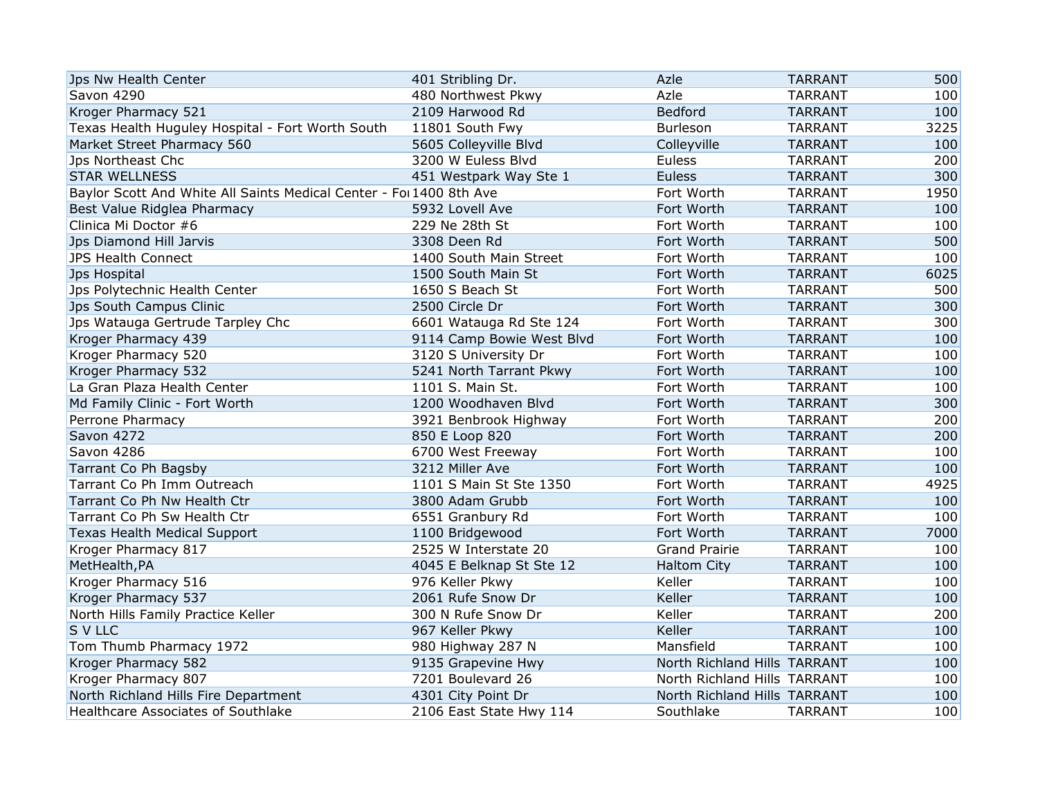| Jps Nw Health Center                                                | 401 Stribling Dr.         | Azle                         | <b>TARRANT</b> | 500  |
|---------------------------------------------------------------------|---------------------------|------------------------------|----------------|------|
| Savon 4290                                                          | 480 Northwest Pkwy        | Azle                         | <b>TARRANT</b> | 100  |
| Kroger Pharmacy 521                                                 | 2109 Harwood Rd           | Bedford                      | <b>TARRANT</b> | 100  |
| Texas Health Huguley Hospital - Fort Worth South                    | 11801 South Fwy           | <b>Burleson</b>              | <b>TARRANT</b> | 3225 |
| Market Street Pharmacy 560                                          | 5605 Colleyville Blvd     | Colleyville                  | <b>TARRANT</b> | 100  |
| Jps Northeast Chc                                                   | 3200 W Euless Blvd        | Euless                       | <b>TARRANT</b> | 200  |
| <b>STAR WELLNESS</b>                                                | 451 Westpark Way Ste 1    | <b>Euless</b>                | <b>TARRANT</b> | 300  |
| Baylor Scott And White All Saints Medical Center - For 1400 8th Ave |                           | Fort Worth                   | <b>TARRANT</b> | 1950 |
| Best Value Ridglea Pharmacy                                         | 5932 Lovell Ave           | Fort Worth                   | <b>TARRANT</b> | 100  |
| Clinica Mi Doctor #6                                                | 229 Ne 28th St            | Fort Worth                   | <b>TARRANT</b> | 100  |
| Jps Diamond Hill Jarvis                                             | 3308 Deen Rd              | Fort Worth                   | <b>TARRANT</b> | 500  |
| <b>JPS Health Connect</b>                                           | 1400 South Main Street    | Fort Worth                   | <b>TARRANT</b> | 100  |
| Jps Hospital                                                        | 1500 South Main St        | Fort Worth                   | <b>TARRANT</b> | 6025 |
| Jps Polytechnic Health Center                                       | 1650 S Beach St           | Fort Worth                   | <b>TARRANT</b> | 500  |
| Jps South Campus Clinic                                             | 2500 Circle Dr            | Fort Worth                   | <b>TARRANT</b> | 300  |
| Jps Watauga Gertrude Tarpley Chc                                    | 6601 Watauga Rd Ste 124   | Fort Worth                   | <b>TARRANT</b> | 300  |
| Kroger Pharmacy 439                                                 | 9114 Camp Bowie West Blvd | Fort Worth                   | <b>TARRANT</b> | 100  |
| Kroger Pharmacy 520                                                 | 3120 S University Dr      | Fort Worth                   | <b>TARRANT</b> | 100  |
| Kroger Pharmacy 532                                                 | 5241 North Tarrant Pkwy   | Fort Worth                   | <b>TARRANT</b> | 100  |
| La Gran Plaza Health Center                                         | 1101 S. Main St.          | Fort Worth                   | <b>TARRANT</b> | 100  |
| Md Family Clinic - Fort Worth                                       | 1200 Woodhaven Blvd       | Fort Worth                   | <b>TARRANT</b> | 300  |
| Perrone Pharmacy                                                    | 3921 Benbrook Highway     | Fort Worth                   | <b>TARRANT</b> | 200  |
| Savon 4272                                                          | 850 E Loop 820            | Fort Worth                   | <b>TARRANT</b> | 200  |
| Savon 4286                                                          | 6700 West Freeway         | Fort Worth                   | <b>TARRANT</b> | 100  |
| Tarrant Co Ph Bagsby                                                | 3212 Miller Ave           | Fort Worth                   | <b>TARRANT</b> | 100  |
| Tarrant Co Ph Imm Outreach                                          | 1101 S Main St Ste 1350   | Fort Worth                   | <b>TARRANT</b> | 4925 |
| Tarrant Co Ph Nw Health Ctr                                         | 3800 Adam Grubb           | Fort Worth                   | <b>TARRANT</b> | 100  |
| Tarrant Co Ph Sw Health Ctr                                         | 6551 Granbury Rd          | Fort Worth                   | <b>TARRANT</b> | 100  |
| <b>Texas Health Medical Support</b>                                 | 1100 Bridgewood           | Fort Worth                   | <b>TARRANT</b> | 7000 |
| Kroger Pharmacy 817                                                 | 2525 W Interstate 20      | <b>Grand Prairie</b>         | <b>TARRANT</b> | 100  |
| MetHealth, PA                                                       | 4045 E Belknap St Ste 12  | <b>Haltom City</b>           | <b>TARRANT</b> | 100  |
| Kroger Pharmacy 516                                                 | 976 Keller Pkwy           | Keller                       | <b>TARRANT</b> | 100  |
| Kroger Pharmacy 537                                                 | 2061 Rufe Snow Dr         | Keller                       | <b>TARRANT</b> | 100  |
| North Hills Family Practice Keller                                  | 300 N Rufe Snow Dr        | Keller                       | <b>TARRANT</b> | 200  |
| <b>S V LLC</b>                                                      | 967 Keller Pkwy           | Keller                       | <b>TARRANT</b> | 100  |
| Tom Thumb Pharmacy 1972                                             | 980 Highway 287 N         | Mansfield                    | <b>TARRANT</b> | 100  |
| Kroger Pharmacy 582                                                 | 9135 Grapevine Hwy        | North Richland Hills TARRANT |                | 100  |
| Kroger Pharmacy 807                                                 | 7201 Boulevard 26         | North Richland Hills TARRANT |                | 100  |
| North Richland Hills Fire Department                                | 4301 City Point Dr        | North Richland Hills TARRANT |                | 100  |
| Healthcare Associates of Southlake                                  | 2106 East State Hwy 114   | Southlake                    | <b>TARRANT</b> | 100  |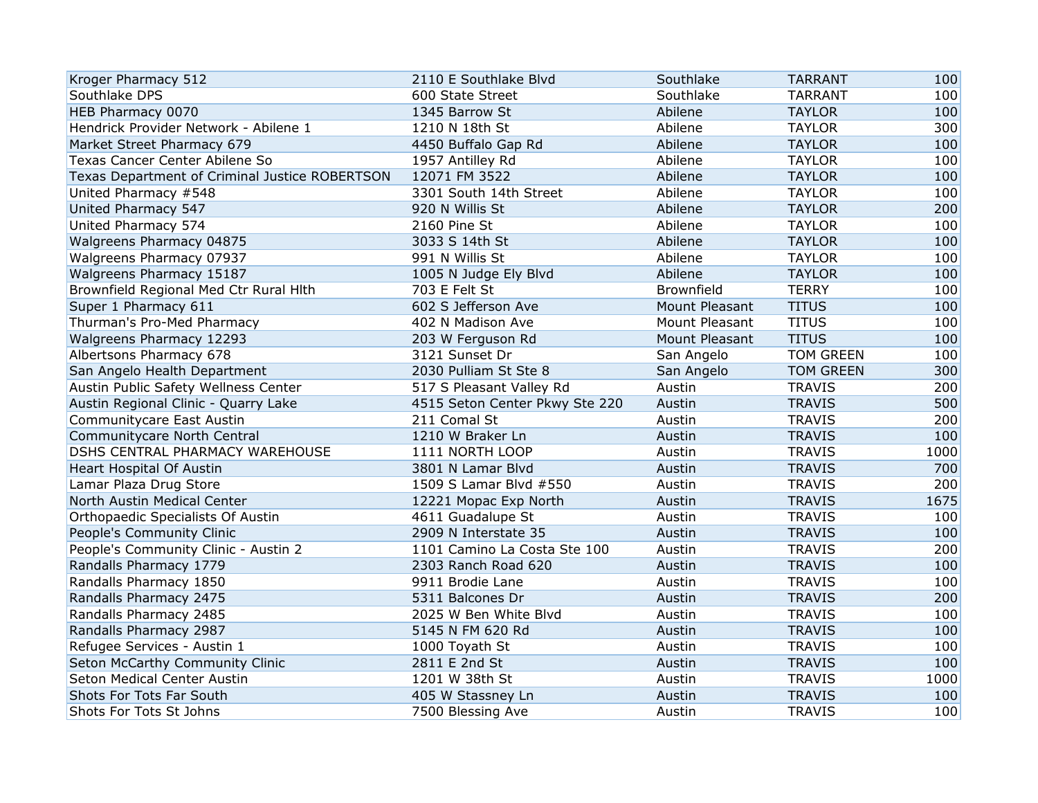| Kroger Pharmacy 512                            | 2110 E Southlake Blvd          | Southlake      | <b>TARRANT</b>   | 100  |
|------------------------------------------------|--------------------------------|----------------|------------------|------|
| Southlake DPS                                  | 600 State Street               | Southlake      | <b>TARRANT</b>   | 100  |
| HEB Pharmacy 0070                              | 1345 Barrow St                 | Abilene        | <b>TAYLOR</b>    | 100  |
| Hendrick Provider Network - Abilene 1          | 1210 N 18th St                 | Abilene        | <b>TAYLOR</b>    | 300  |
| Market Street Pharmacy 679                     | 4450 Buffalo Gap Rd            | Abilene        | <b>TAYLOR</b>    | 100  |
| Texas Cancer Center Abilene So                 | 1957 Antilley Rd               | Abilene        | <b>TAYLOR</b>    | 100  |
| Texas Department of Criminal Justice ROBERTSON | 12071 FM 3522                  | Abilene        | <b>TAYLOR</b>    | 100  |
| United Pharmacy #548                           | 3301 South 14th Street         | Abilene        | <b>TAYLOR</b>    | 100  |
| United Pharmacy 547                            | 920 N Willis St                | Abilene        | <b>TAYLOR</b>    | 200  |
| United Pharmacy 574                            | 2160 Pine St                   | Abilene        | <b>TAYLOR</b>    | 100  |
| Walgreens Pharmacy 04875                       | 3033 S 14th St                 | Abilene        | <b>TAYLOR</b>    | 100  |
| Walgreens Pharmacy 07937                       | 991 N Willis St                | Abilene        | <b>TAYLOR</b>    | 100  |
| Walgreens Pharmacy 15187                       | 1005 N Judge Ely Blvd          | Abilene        | <b>TAYLOR</b>    | 100  |
| Brownfield Regional Med Ctr Rural Hlth         | 703 E Felt St                  | Brownfield     | <b>TERRY</b>     | 100  |
| Super 1 Pharmacy 611                           | 602 S Jefferson Ave            | Mount Pleasant | <b>TITUS</b>     | 100  |
| Thurman's Pro-Med Pharmacy                     | 402 N Madison Ave              | Mount Pleasant | <b>TITUS</b>     | 100  |
| Walgreens Pharmacy 12293                       | 203 W Ferguson Rd              | Mount Pleasant | <b>TITUS</b>     | 100  |
| Albertsons Pharmacy 678                        | 3121 Sunset Dr                 | San Angelo     | <b>TOM GREEN</b> | 100  |
| San Angelo Health Department                   | 2030 Pulliam St Ste 8          | San Angelo     | <b>TOM GREEN</b> | 300  |
| Austin Public Safety Wellness Center           | 517 S Pleasant Valley Rd       | Austin         | <b>TRAVIS</b>    | 200  |
| Austin Regional Clinic - Quarry Lake           | 4515 Seton Center Pkwy Ste 220 | Austin         | <b>TRAVIS</b>    | 500  |
| Communitycare East Austin                      | 211 Comal St                   | Austin         | <b>TRAVIS</b>    | 200  |
| Communitycare North Central                    | 1210 W Braker Ln               | Austin         | <b>TRAVIS</b>    | 100  |
| DSHS CENTRAL PHARMACY WAREHOUSE                | 1111 NORTH LOOP                | Austin         | <b>TRAVIS</b>    | 1000 |
| Heart Hospital Of Austin                       | 3801 N Lamar Blvd              | Austin         | <b>TRAVIS</b>    | 700  |
| Lamar Plaza Drug Store                         | 1509 S Lamar Blvd #550         | Austin         | <b>TRAVIS</b>    | 200  |
| North Austin Medical Center                    | 12221 Mopac Exp North          | Austin         | <b>TRAVIS</b>    | 1675 |
| Orthopaedic Specialists Of Austin              | 4611 Guadalupe St              | Austin         | <b>TRAVIS</b>    | 100  |
| People's Community Clinic                      | 2909 N Interstate 35           | Austin         | <b>TRAVIS</b>    | 100  |
| People's Community Clinic - Austin 2           | 1101 Camino La Costa Ste 100   | Austin         | <b>TRAVIS</b>    | 200  |
| Randalls Pharmacy 1779                         | 2303 Ranch Road 620            | Austin         | <b>TRAVIS</b>    | 100  |
| Randalls Pharmacy 1850                         | 9911 Brodie Lane               | Austin         | <b>TRAVIS</b>    | 100  |
| Randalls Pharmacy 2475                         | 5311 Balcones Dr               | Austin         | <b>TRAVIS</b>    | 200  |
| Randalls Pharmacy 2485                         | 2025 W Ben White Blvd          | Austin         | <b>TRAVIS</b>    | 100  |
| Randalls Pharmacy 2987                         | 5145 N FM 620 Rd               | Austin         | <b>TRAVIS</b>    | 100  |
| Refugee Services - Austin 1                    | 1000 Toyath St                 | Austin         | <b>TRAVIS</b>    | 100  |
| Seton McCarthy Community Clinic                | 2811 E 2nd St                  | Austin         | <b>TRAVIS</b>    | 100  |
| Seton Medical Center Austin                    | 1201 W 38th St                 | Austin         | <b>TRAVIS</b>    | 1000 |
| Shots For Tots Far South                       | 405 W Stassney Ln              | Austin         | <b>TRAVIS</b>    | 100  |
| Shots For Tots St Johns                        | 7500 Blessing Ave              | Austin         | <b>TRAVIS</b>    | 100  |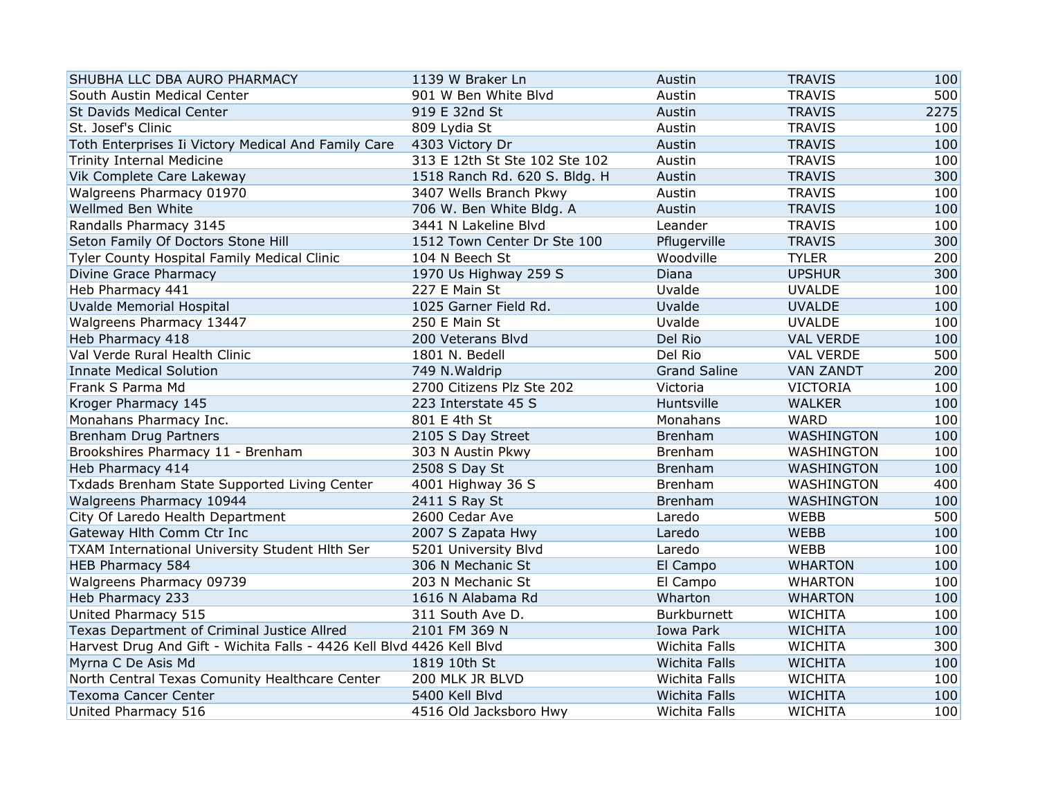| SHUBHA LLC DBA AURO PHARMACY                                          | 1139 W Braker Ln              | Austin              | <b>TRAVIS</b>    | 100  |
|-----------------------------------------------------------------------|-------------------------------|---------------------|------------------|------|
| South Austin Medical Center                                           | 901 W Ben White Blvd          | Austin              | <b>TRAVIS</b>    | 500  |
| <b>St Davids Medical Center</b>                                       | 919 E 32nd St                 | Austin              | <b>TRAVIS</b>    | 2275 |
| St. Josef's Clinic                                                    | 809 Lydia St                  | Austin              | <b>TRAVIS</b>    | 100  |
| Toth Enterprises Ii Victory Medical And Family Care                   | 4303 Victory Dr               | Austin              | <b>TRAVIS</b>    | 100  |
| <b>Trinity Internal Medicine</b>                                      | 313 E 12th St Ste 102 Ste 102 | Austin              | <b>TRAVIS</b>    | 100  |
| Vik Complete Care Lakeway                                             | 1518 Ranch Rd. 620 S. Bldg. H | Austin              | <b>TRAVIS</b>    | 300  |
| Walgreens Pharmacy 01970                                              | 3407 Wells Branch Pkwy        | Austin              | <b>TRAVIS</b>    | 100  |
| Wellmed Ben White                                                     | 706 W. Ben White Bldg. A      | Austin              | <b>TRAVIS</b>    | 100  |
| Randalls Pharmacy 3145                                                | 3441 N Lakeline Blvd          | Leander             | <b>TRAVIS</b>    | 100  |
| Seton Family Of Doctors Stone Hill                                    | 1512 Town Center Dr Ste 100   | Pflugerville        | <b>TRAVIS</b>    | 300  |
| Tyler County Hospital Family Medical Clinic                           | 104 N Beech St                | Woodville           | <b>TYLER</b>     | 200  |
| Divine Grace Pharmacy                                                 | 1970 Us Highway 259 S         | Diana               | <b>UPSHUR</b>    | 300  |
| Heb Pharmacy 441                                                      | 227 E Main St                 | Uvalde              | <b>UVALDE</b>    | 100  |
| Uvalde Memorial Hospital                                              | 1025 Garner Field Rd.         | Uvalde              | <b>UVALDE</b>    | 100  |
| Walgreens Pharmacy 13447                                              | 250 E Main St                 | Uvalde              | <b>UVALDE</b>    | 100  |
| Heb Pharmacy 418                                                      | 200 Veterans Blvd             | Del Rio             | <b>VAL VERDE</b> | 100  |
| Val Verde Rural Health Clinic                                         | 1801 N. Bedell                | Del Rio             | <b>VAL VERDE</b> | 500  |
| <b>Innate Medical Solution</b>                                        | 749 N. Waldrip                | <b>Grand Saline</b> | <b>VAN ZANDT</b> | 200  |
| Frank S Parma Md                                                      | 2700 Citizens Plz Ste 202     | Victoria            | <b>VICTORIA</b>  | 100  |
| Kroger Pharmacy 145                                                   | 223 Interstate 45 S           | Huntsville          | <b>WALKER</b>    | 100  |
| Monahans Pharmacy Inc.                                                | 801 E 4th St                  | Monahans            | <b>WARD</b>      | 100  |
| <b>Brenham Drug Partners</b>                                          | 2105 S Day Street             | <b>Brenham</b>      | WASHINGTON       | 100  |
| Brookshires Pharmacy 11 - Brenham                                     | 303 N Austin Pkwy             | Brenham             | WASHINGTON       | 100  |
| Heb Pharmacy 414                                                      | 2508 S Day St                 | <b>Brenham</b>      | WASHINGTON       | 100  |
| Txdads Brenham State Supported Living Center                          | 4001 Highway 36 S             | <b>Brenham</b>      | WASHINGTON       | 400  |
| Walgreens Pharmacy 10944                                              | 2411 S Ray St                 | <b>Brenham</b>      | WASHINGTON       | 100  |
| City Of Laredo Health Department                                      | 2600 Cedar Ave                | Laredo              | WEBB             | 500  |
| Gateway Hlth Comm Ctr Inc                                             | 2007 S Zapata Hwy             | Laredo              | <b>WEBB</b>      | 100  |
| TXAM International University Student Hlth Ser                        | 5201 University Blvd          | Laredo              | WEBB             | 100  |
| HEB Pharmacy 584                                                      | 306 N Mechanic St             | El Campo            | <b>WHARTON</b>   | 100  |
| Walgreens Pharmacy 09739                                              | 203 N Mechanic St             | El Campo            | <b>WHARTON</b>   | 100  |
| Heb Pharmacy 233                                                      | 1616 N Alabama Rd             | Wharton             | <b>WHARTON</b>   | 100  |
| United Pharmacy 515                                                   | 311 South Ave D.              | Burkburnett         | <b>WICHITA</b>   | 100  |
| Texas Department of Criminal Justice Allred                           | 2101 FM 369 N                 | Iowa Park           | <b>WICHITA</b>   | 100  |
| Harvest Drug And Gift - Wichita Falls - 4426 Kell Blvd 4426 Kell Blvd |                               | Wichita Falls       | <b>WICHITA</b>   | 300  |
| Myrna C De Asis Md                                                    | 1819 10th St                  | Wichita Falls       | <b>WICHITA</b>   | 100  |
| North Central Texas Comunity Healthcare Center                        | 200 MLK JR BLVD               | Wichita Falls       | <b>WICHITA</b>   | 100  |
| <b>Texoma Cancer Center</b>                                           | 5400 Kell Blvd                | Wichita Falls       | <b>WICHITA</b>   | 100  |
| United Pharmacy 516                                                   | 4516 Old Jacksboro Hwy        | Wichita Falls       | <b>WICHITA</b>   | 100  |